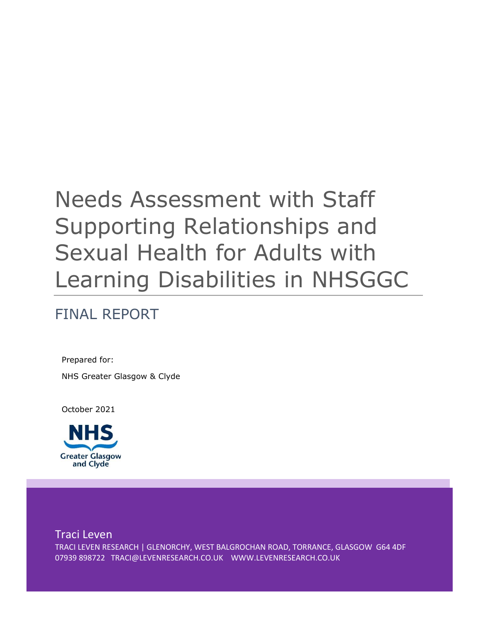# Needs Assessment with Staff Supporting Relationships and Sexual Health for Adults with Learning Disabilities in NHSGGC

## FINAL REPORT

Prepared for: NHS Greater Glasgow & Clyde

October 2021



Traci Leven TRACI LEVEN RESEARCH | GLENORCHY, WEST BALGROCHAN ROAD, TORRANCE, GLASGOW G64 4DF 07939 898722 TRACI@LEVENRESEARCH.CO.UK WWW.LEVENRESEARCH.CO.UK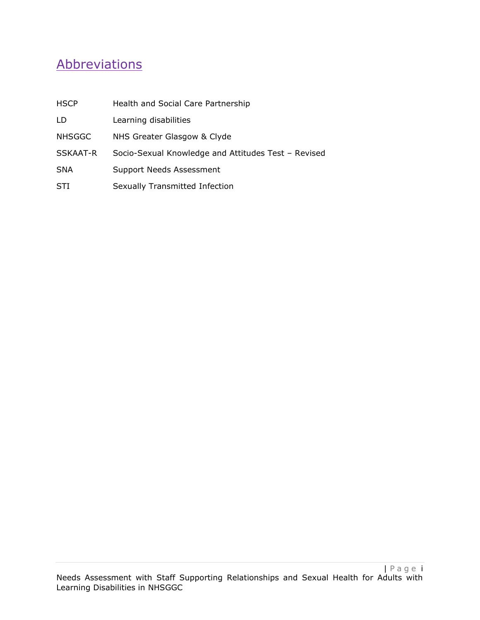## **Abbreviations**

| <b>HSCP</b>   | Health and Social Care Partnership                  |
|---------------|-----------------------------------------------------|
| LD            | Learning disabilities                               |
| <b>NHSGGC</b> | NHS Greater Glasgow & Clyde                         |
| SSKAAT-R      | Socio-Sexual Knowledge and Attitudes Test - Revised |
| <b>SNA</b>    | <b>Support Needs Assessment</b>                     |
| STI           | Sexually Transmitted Infection                      |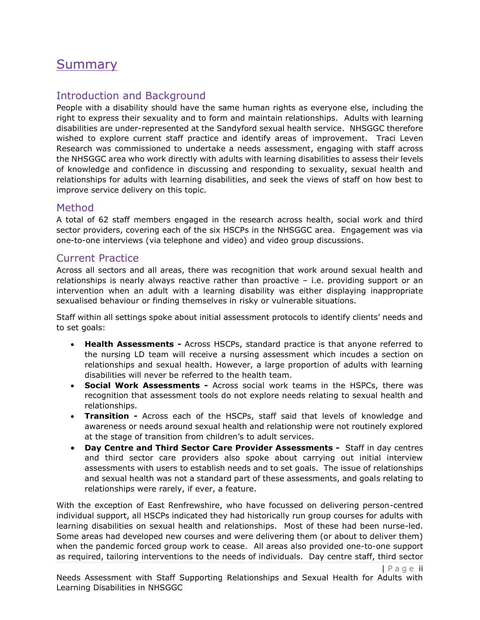## **Summary**

### Introduction and Background

People with a disability should have the same human rights as everyone else, including the right to express their sexuality and to form and maintain relationships. Adults with learning disabilities are under-represented at the Sandyford sexual health service. NHSGGC therefore wished to explore current staff practice and identify areas of improvement. Traci Leven Research was commissioned to undertake a needs assessment, engaging with staff across the NHSGGC area who work directly with adults with learning disabilities to assess their levels of knowledge and confidence in discussing and responding to sexuality, sexual health and relationships for adults with learning disabilities, and seek the views of staff on how best to improve service delivery on this topic.

### Method

A total of 62 staff members engaged in the research across health, social work and third sector providers, covering each of the six HSCPs in the NHSGGC area. Engagement was via one-to-one interviews (via telephone and video) and video group discussions.

### Current Practice

Across all sectors and all areas, there was recognition that work around sexual health and relationships is nearly always reactive rather than proactive – i.e. providing support or an intervention when an adult with a learning disability was either displaying inappropriate sexualised behaviour or finding themselves in risky or vulnerable situations.

Staff within all settings spoke about initial assessment protocols to identify clients' needs and to set goals:

- **Health Assessments -** Across HSCPs, standard practice is that anyone referred to the nursing LD team will receive a nursing assessment which incudes a section on relationships and sexual health. However, a large proportion of adults with learning disabilities will never be referred to the health team.
- **Social Work Assessments -** Across social work teams in the HSPCs, there was recognition that assessment tools do not explore needs relating to sexual health and relationships.
- **Transition -** Across each of the HSCPs, staff said that levels of knowledge and awareness or needs around sexual health and relationship were not routinely explored at the stage of transition from children's to adult services.
- **Day Centre and Third Sector Care Provider Assessments** Staff in day centres and third sector care providers also spoke about carrying out initial interview assessments with users to establish needs and to set goals. The issue of relationships and sexual health was not a standard part of these assessments, and goals relating to relationships were rarely, if ever, a feature.

With the exception of East Renfrewshire, who have focussed on delivering person-centred individual support, all HSCPs indicated they had historically run group courses for adults with learning disabilities on sexual health and relationships. Most of these had been nurse-led. Some areas had developed new courses and were delivering them (or about to deliver them) when the pandemic forced group work to cease. All areas also provided one-to-one support as required, tailoring interventions to the needs of individuals. Day centre staff, third sector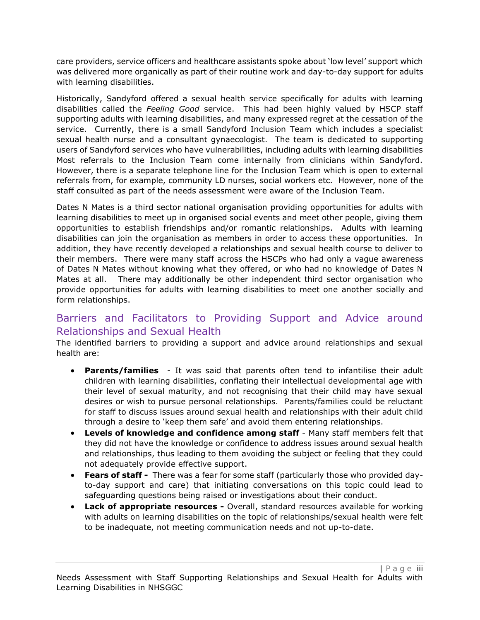care providers, service officers and healthcare assistants spoke about 'low level' support which was delivered more organically as part of their routine work and day-to-day support for adults with learning disabilities.

Historically, Sandyford offered a sexual health service specifically for adults with learning disabilities called the *Feeling Good* service. This had been highly valued by HSCP staff supporting adults with learning disabilities, and many expressed regret at the cessation of the service. Currently, there is a small Sandyford Inclusion Team which includes a specialist sexual health nurse and a consultant gynaecologist. The team is dedicated to supporting users of Sandyford services who have vulnerabilities, including adults with learning disabilities Most referrals to the Inclusion Team come internally from clinicians within Sandyford. However, there is a separate telephone line for the Inclusion Team which is open to external referrals from, for example, community LD nurses, social workers etc. However, none of the staff consulted as part of the needs assessment were aware of the Inclusion Team.

Dates N Mates is a third sector national organisation providing opportunities for adults with learning disabilities to meet up in organised social events and meet other people, giving them opportunities to establish friendships and/or romantic relationships. Adults with learning disabilities can join the organisation as members in order to access these opportunities. In addition, they have recently developed a relationships and sexual health course to deliver to their members. There were many staff across the HSCPs who had only a vague awareness of Dates N Mates without knowing what they offered, or who had no knowledge of Dates N Mates at all. There may additionally be other independent third sector organisation who provide opportunities for adults with learning disabilities to meet one another socially and form relationships.

### Barriers and Facilitators to Providing Support and Advice around Relationships and Sexual Health

The identified barriers to providing a support and advice around relationships and sexual health are:

- **Parents/families** It was said that parents often tend to infantilise their adult children with learning disabilities, conflating their intellectual developmental age with their level of sexual maturity, and not recognising that their child may have sexual desires or wish to pursue personal relationships. Parents/families could be reluctant for staff to discuss issues around sexual health and relationships with their adult child through a desire to 'keep them safe' and avoid them entering relationships.
- **Levels of knowledge and confidence among staff** Many staff members felt that they did not have the knowledge or confidence to address issues around sexual health and relationships, thus leading to them avoiding the subject or feeling that they could not adequately provide effective support.
- **Fears of staff** There was a fear for some staff (particularly those who provided dayto-day support and care) that initiating conversations on this topic could lead to safeguarding questions being raised or investigations about their conduct.
- **Lack of appropriate resources -** Overall, standard resources available for working with adults on learning disabilities on the topic of relationships/sexual health were felt to be inadequate, not meeting communication needs and not up-to-date.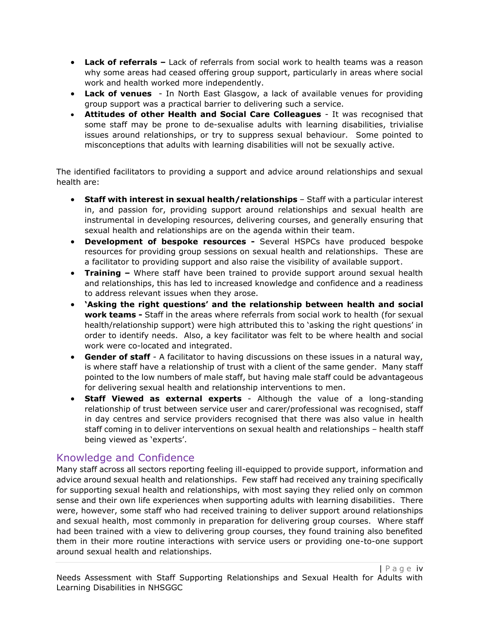- **Lack of referrals –** Lack of referrals from social work to health teams was a reason why some areas had ceased offering group support, particularly in areas where social work and health worked more independently.
- **Lack of venues**  In North East Glasgow, a lack of available venues for providing group support was a practical barrier to delivering such a service.
- **Attitudes of other Health and Social Care Colleagues** It was recognised that some staff may be prone to de-sexualise adults with learning disabilities, trivialise issues around relationships, or try to suppress sexual behaviour. Some pointed to misconceptions that adults with learning disabilities will not be sexually active.

The identified facilitators to providing a support and advice around relationships and sexual health are:

- **Staff with interest in sexual health/relationships** Staff with a particular interest in, and passion for, providing support around relationships and sexual health are instrumental in developing resources, delivering courses, and generally ensuring that sexual health and relationships are on the agenda within their team.
- **Development of bespoke resources -** Several HSPCs have produced bespoke resources for providing group sessions on sexual health and relationships. These are a facilitator to providing support and also raise the visibility of available support.
- **Training –** Where staff have been trained to provide support around sexual health and relationships, this has led to increased knowledge and confidence and a readiness to address relevant issues when they arose.
- **'Asking the right questions' and the relationship between health and social work teams -** Staff in the areas where referrals from social work to health (for sexual health/relationship support) were high attributed this to 'asking the right questions' in order to identify needs. Also, a key facilitator was felt to be where health and social work were co-located and integrated.
- **Gender of staff** A facilitator to having discussions on these issues in a natural way, is where staff have a relationship of trust with a client of the same gender. Many staff pointed to the low numbers of male staff, but having male staff could be advantageous for delivering sexual health and relationship interventions to men.
- **Staff Viewed as external experts** Although the value of a long-standing relationship of trust between service user and carer/professional was recognised, staff in day centres and service providers recognised that there was also value in health staff coming in to deliver interventions on sexual health and relationships – health staff being viewed as 'experts'.

### Knowledge and Confidence

Many staff across all sectors reporting feeling ill-equipped to provide support, information and advice around sexual health and relationships. Few staff had received any training specifically for supporting sexual health and relationships, with most saying they relied only on common sense and their own life experiences when supporting adults with learning disabilities. There were, however, some staff who had received training to deliver support around relationships and sexual health, most commonly in preparation for delivering group courses. Where staff had been trained with a view to delivering group courses, they found training also benefited them in their more routine interactions with service users or providing one-to-one support around sexual health and relationships.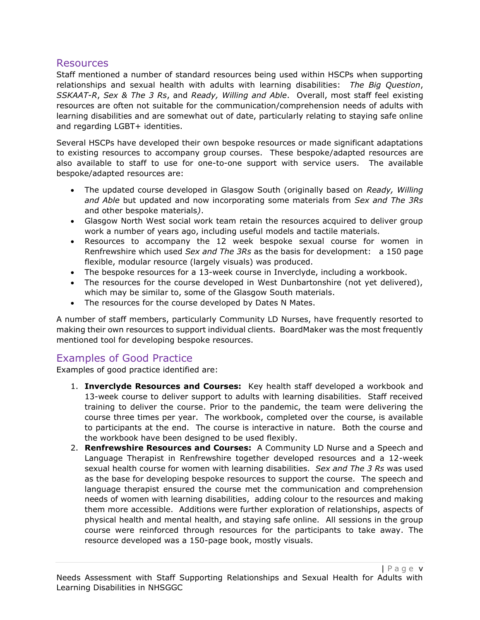### **Resources**

Staff mentioned a number of standard resources being used within HSCPs when supporting relationships and sexual health with adults with learning disabilities: *The Big Question*, *SSKAAT-R*, *Sex & The 3 Rs*, and *Ready, Willing and Able*. Overall, most staff feel existing resources are often not suitable for the communication/comprehension needs of adults with learning disabilities and are somewhat out of date, particularly relating to staying safe online and regarding LGBT+ identities.

Several HSCPs have developed their own bespoke resources or made significant adaptations to existing resources to accompany group courses. These bespoke/adapted resources are also available to staff to use for one-to-one support with service users. The available bespoke/adapted resources are:

- The updated course developed in Glasgow South (originally based on *Ready, Willing and Able* but updated and now incorporating some materials from *Sex and The 3Rs* and other bespoke materials*)*.
- Glasgow North West social work team retain the resources acquired to deliver group work a number of years ago, including useful models and tactile materials.
- Resources to accompany the 12 week bespoke sexual course for women in Renfrewshire which used *Sex and The 3Rs* as the basis for development: a 150 page flexible, modular resource (largely visuals) was produced.
- The bespoke resources for a 13-week course in Inverclyde, including a workbook.
- The resources for the course developed in West Dunbartonshire (not yet delivered), which may be similar to, some of the Glasgow South materials.
- The resources for the course developed by Dates N Mates.

A number of staff members, particularly Community LD Nurses, have frequently resorted to making their own resources to support individual clients. BoardMaker was the most frequently mentioned tool for developing bespoke resources.

### Examples of Good Practice

Examples of good practice identified are:

- 1. **Inverclyde Resources and Courses:** Key health staff developed a workbook and 13-week course to deliver support to adults with learning disabilities. Staff received training to deliver the course. Prior to the pandemic, the team were delivering the course three times per year. The workbook, completed over the course, is available to participants at the end. The course is interactive in nature. Both the course and the workbook have been designed to be used flexibly.
- 2. **Renfrewshire Resources and Courses:** A Community LD Nurse and a Speech and Language Therapist in Renfrewshire together developed resources and a 12-week sexual health course for women with learning disabilities. *Sex and The 3 Rs* was used as the base for developing bespoke resources to support the course. The speech and language therapist ensured the course met the communication and comprehension needs of women with learning disabilities, adding colour to the resources and making them more accessible. Additions were further exploration of relationships, aspects of physical health and mental health, and staying safe online. All sessions in the group course were reinforced through resources for the participants to take away. The resource developed was a 150-page book, mostly visuals.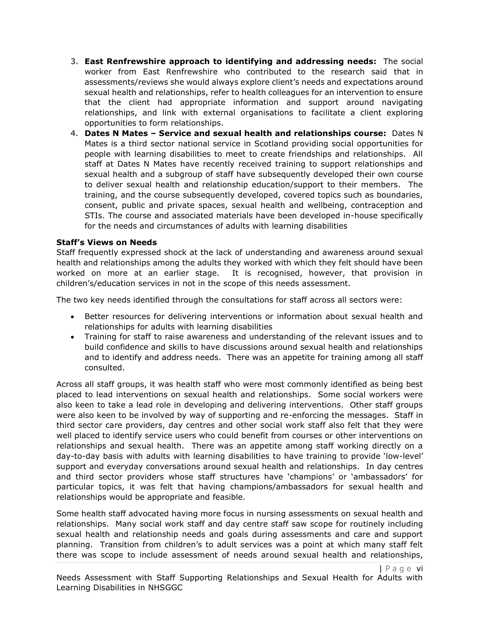- 3. **East Renfrewshire approach to identifying and addressing needs:** The social worker from East Renfrewshire who contributed to the research said that in assessments/reviews she would always explore client's needs and expectations around sexual health and relationships, refer to health colleagues for an intervention to ensure that the client had appropriate information and support around navigating relationships, and link with external organisations to facilitate a client exploring opportunities to form relationships.
- 4. **Dates N Mates – Service and sexual health and relationships course:** Dates N Mates is a third sector national service in Scotland providing social opportunities for people with learning disabilities to meet to create friendships and relationships. All staff at Dates N Mates have recently received training to support relationships and sexual health and a subgroup of staff have subsequently developed their own course to deliver sexual health and relationship education/support to their members. The training, and the course subsequently developed, covered topics such as boundaries, consent, public and private spaces, sexual health and wellbeing, contraception and STIs. The course and associated materials have been developed in-house specifically for the needs and circumstances of adults with learning disabilities

#### **Staff's Views on Needs**

Staff frequently expressed shock at the lack of understanding and awareness around sexual health and relationships among the adults they worked with which they felt should have been worked on more at an earlier stage. It is recognised, however, that provision in children's/education services in not in the scope of this needs assessment.

The two key needs identified through the consultations for staff across all sectors were:

- Better resources for delivering interventions or information about sexual health and relationships for adults with learning disabilities
- Training for staff to raise awareness and understanding of the relevant issues and to build confidence and skills to have discussions around sexual health and relationships and to identify and address needs. There was an appetite for training among all staff consulted.

Across all staff groups, it was health staff who were most commonly identified as being best placed to lead interventions on sexual health and relationships. Some social workers were also keen to take a lead role in developing and delivering interventions. Other staff groups were also keen to be involved by way of supporting and re-enforcing the messages. Staff in third sector care providers, day centres and other social work staff also felt that they were well placed to identify service users who could benefit from courses or other interventions on relationships and sexual health. There was an appetite among staff working directly on a day-to-day basis with adults with learning disabilities to have training to provide 'low-level' support and everyday conversations around sexual health and relationships. In day centres and third sector providers whose staff structures have 'champions' or 'ambassadors' for particular topics, it was felt that having champions/ambassadors for sexual health and relationships would be appropriate and feasible.

Some health staff advocated having more focus in nursing assessments on sexual health and relationships. Many social work staff and day centre staff saw scope for routinely including sexual health and relationship needs and goals during assessments and care and support planning. Transition from children's to adult services was a point at which many staff felt there was scope to include assessment of needs around sexual health and relationships,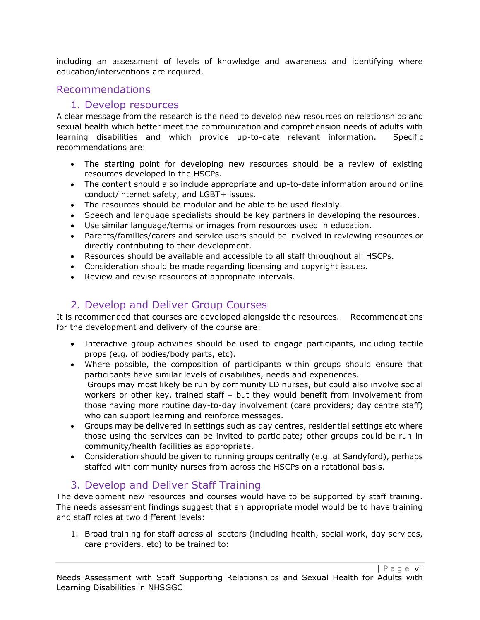including an assessment of levels of knowledge and awareness and identifying where education/interventions are required.

### Recommendations

### 1. Develop resources

A clear message from the research is the need to develop new resources on relationships and sexual health which better meet the communication and comprehension needs of adults with learning disabilities and which provide up-to-date relevant information. Specific recommendations are:

- The starting point for developing new resources should be a review of existing resources developed in the HSCPs.
- The content should also include appropriate and up-to-date information around online conduct/internet safety, and LGBT+ issues.
- The resources should be modular and be able to be used flexibly.
- Speech and language specialists should be key partners in developing the resources.
- Use similar language/terms or images from resources used in education.
- Parents/families/carers and service users should be involved in reviewing resources or directly contributing to their development.
- Resources should be available and accessible to all staff throughout all HSCPs.
- Consideration should be made regarding licensing and copyright issues.
- Review and revise resources at appropriate intervals.

### 2. Develop and Deliver Group Courses

It is recommended that courses are developed alongside the resources. Recommendations for the development and delivery of the course are:

- Interactive group activities should be used to engage participants, including tactile props (e.g. of bodies/body parts, etc).
- Where possible, the composition of participants within groups should ensure that participants have similar levels of disabilities, needs and experiences. Groups may most likely be run by community LD nurses, but could also involve social workers or other key, trained staff – but they would benefit from involvement from those having more routine day-to-day involvement (care providers; day centre staff) who can support learning and reinforce messages.
- Groups may be delivered in settings such as day centres, residential settings etc where those using the services can be invited to participate; other groups could be run in community/health facilities as appropriate.
- Consideration should be given to running groups centrally (e.g. at Sandyford), perhaps staffed with community nurses from across the HSCPs on a rotational basis.

### 3. Develop and Deliver Staff Training

The development new resources and courses would have to be supported by staff training. The needs assessment findings suggest that an appropriate model would be to have training and staff roles at two different levels:

1. Broad training for staff across all sectors (including health, social work, day services, care providers, etc) to be trained to: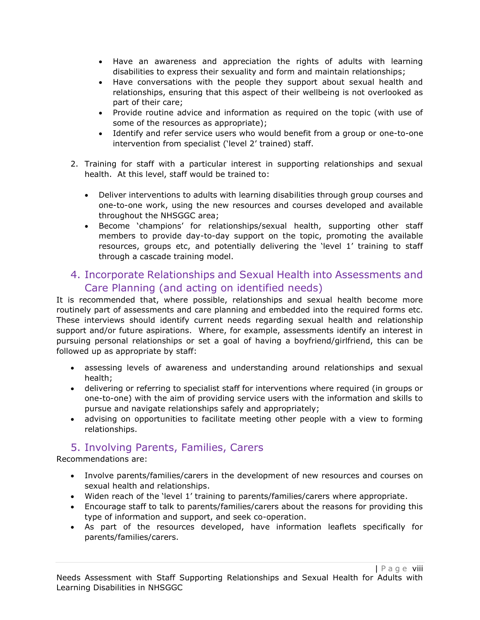- Have an awareness and appreciation the rights of adults with learning disabilities to express their sexuality and form and maintain relationships;
- Have conversations with the people they support about sexual health and relationships, ensuring that this aspect of their wellbeing is not overlooked as part of their care;
- Provide routine advice and information as required on the topic (with use of some of the resources as appropriate);
- Identify and refer service users who would benefit from a group or one-to-one intervention from specialist ('level 2' trained) staff.
- 2. Training for staff with a particular interest in supporting relationships and sexual health. At this level, staff would be trained to:
	- Deliver interventions to adults with learning disabilities through group courses and one-to-one work, using the new resources and courses developed and available throughout the NHSGGC area;
	- Become 'champions' for relationships/sexual health, supporting other staff members to provide day-to-day support on the topic, promoting the available resources, groups etc, and potentially delivering the 'level 1' training to staff through a cascade training model.

### 4. Incorporate Relationships and Sexual Health into Assessments and Care Planning (and acting on identified needs)

It is recommended that, where possible, relationships and sexual health become more routinely part of assessments and care planning and embedded into the required forms etc. These interviews should identify current needs regarding sexual health and relationship support and/or future aspirations. Where, for example, assessments identify an interest in pursuing personal relationships or set a goal of having a boyfriend/girlfriend, this can be followed up as appropriate by staff:

- assessing levels of awareness and understanding around relationships and sexual health;
- delivering or referring to specialist staff for interventions where required (in groups or one-to-one) with the aim of providing service users with the information and skills to pursue and navigate relationships safely and appropriately;
- advising on opportunities to facilitate meeting other people with a view to forming relationships.

### 5. Involving Parents, Families, Carers

Recommendations are:

- Involve parents/families/carers in the development of new resources and courses on sexual health and relationships.
- Widen reach of the 'level 1' training to parents/families/carers where appropriate.
- Encourage staff to talk to parents/families/carers about the reasons for providing this type of information and support, and seek co-operation.
- As part of the resources developed, have information leaflets specifically for parents/families/carers.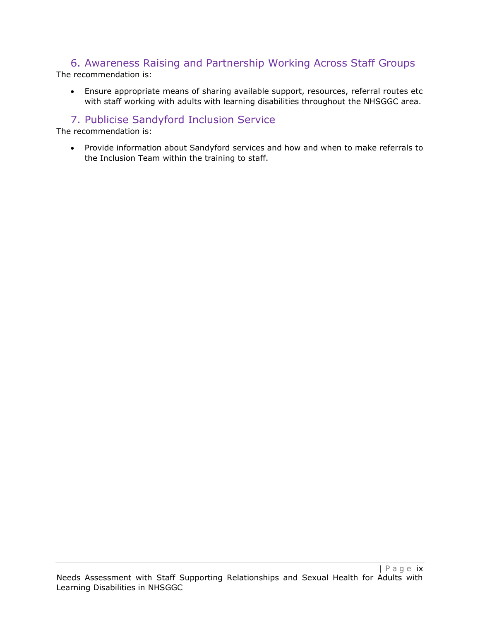## 6. Awareness Raising and Partnership Working Across Staff Groups

The recommendation is:

• Ensure appropriate means of sharing available support, resources, referral routes etc with staff working with adults with learning disabilities throughout the NHSGGC area.

### 7. Publicise Sandyford Inclusion Service

The recommendation is:

• Provide information about Sandyford services and how and when to make referrals to the Inclusion Team within the training to staff.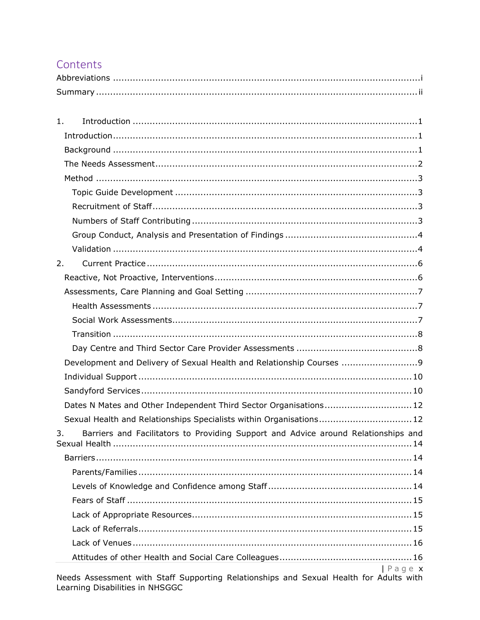### Contents

| Summary |  |
|---------|--|

| 1.                                                                                               |
|--------------------------------------------------------------------------------------------------|
| Introduction 1                                                                                   |
|                                                                                                  |
|                                                                                                  |
|                                                                                                  |
|                                                                                                  |
|                                                                                                  |
|                                                                                                  |
|                                                                                                  |
|                                                                                                  |
| 2.                                                                                               |
|                                                                                                  |
|                                                                                                  |
|                                                                                                  |
|                                                                                                  |
|                                                                                                  |
|                                                                                                  |
| Development and Delivery of Sexual Health and Relationship Courses                               |
|                                                                                                  |
|                                                                                                  |
| Dates N Mates and Other Independent Third Sector Organisations 12                                |
| Sexual Health and Relationships Specialists within Organisations 12                              |
| Barriers and Facilitators to Providing Support and Advice around Relationships and<br>3.         |
|                                                                                                  |
|                                                                                                  |
|                                                                                                  |
|                                                                                                  |
|                                                                                                  |
|                                                                                                  |
|                                                                                                  |
|                                                                                                  |
| Page x<br>Needs Associated with Staff Supporting Polationships and Sexual Health for Adults with |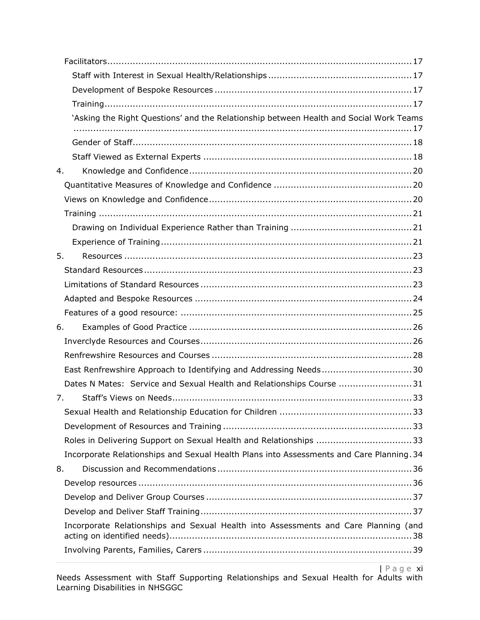| 'Asking the Right Questions' and the Relationship between Health and Social Work Teams   |  |
|------------------------------------------------------------------------------------------|--|
|                                                                                          |  |
|                                                                                          |  |
| 4.                                                                                       |  |
|                                                                                          |  |
|                                                                                          |  |
|                                                                                          |  |
|                                                                                          |  |
|                                                                                          |  |
| 5.                                                                                       |  |
|                                                                                          |  |
|                                                                                          |  |
|                                                                                          |  |
|                                                                                          |  |
| 6.                                                                                       |  |
|                                                                                          |  |
|                                                                                          |  |
| East Renfrewshire Approach to Identifying and Addressing Needs30                         |  |
| Dates N Mates: Service and Sexual Health and Relationships Course 31                     |  |
| 7.                                                                                       |  |
|                                                                                          |  |
|                                                                                          |  |
| Roles in Delivering Support on Sexual Health and Relationships 33                        |  |
| Incorporate Relationships and Sexual Health Plans into Assessments and Care Planning. 34 |  |
| 8.                                                                                       |  |
|                                                                                          |  |
|                                                                                          |  |
|                                                                                          |  |
| Incorporate Relationships and Sexual Health into Assessments and Care Planning (and      |  |
|                                                                                          |  |
|                                                                                          |  |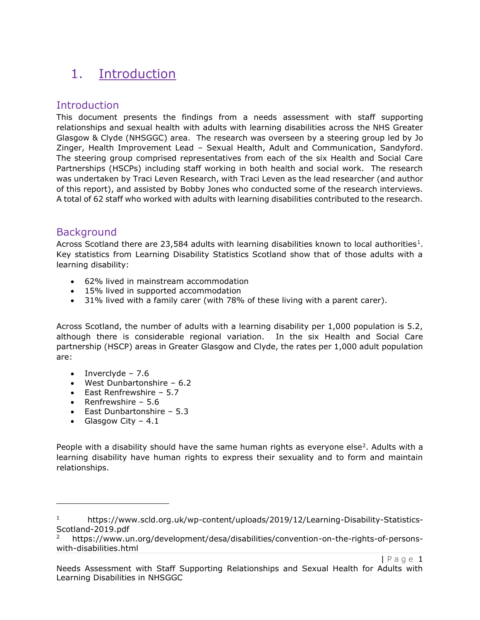## 1. Introduction

### Introduction

This document presents the findings from a needs assessment with staff supporting relationships and sexual health with adults with learning disabilities across the NHS Greater Glasgow & Clyde (NHSGGC) area. The research was overseen by a steering group led by Jo Zinger, Health Improvement Lead – Sexual Health, Adult and Communication, Sandyford. The steering group comprised representatives from each of the six Health and Social Care Partnerships (HSCPs) including staff working in both health and social work. The research was undertaken by Traci Leven Research, with Traci Leven as the lead researcher (and author of this report), and assisted by Bobby Jones who conducted some of the research interviews. A total of 62 staff who worked with adults with learning disabilities contributed to the research.

### **Background**

Across Scotland there are 23,584 adults with learning disabilities known to local authorities<sup>1</sup>. Key statistics from Learning Disability Statistics Scotland show that of those adults with a learning disability:

- 62% lived in mainstream accommodation
- 15% lived in supported accommodation
- 31% lived with a family carer (with 78% of these living with a parent carer).

Across Scotland, the number of adults with a learning disability per 1,000 population is 5.2, although there is considerable regional variation. In the six Health and Social Care partnership (HSCP) areas in Greater Glasgow and Clyde, the rates per 1,000 adult population are:

- Inverclyde  $7.6$
- West Dunbartonshire 6.2
- East Renfrewshire 5.7
- Renfrewshire 5.6
- East Dunbartonshire 5.3
- Glasgow City 4.1

People with a disability should have the same human rights as everyone else<sup>2</sup>. Adults with a learning disability have human rights to express their sexuality and to form and maintain relationships.

Page 1

<sup>&</sup>lt;sup>1</sup> https://www.scld.org.uk/wp-content/uploads/2019/12/Learning-Disability-Statistics-Scotland-2019.pdf

<sup>2</sup> https://www.un.org/development/desa/disabilities/convention-on-the-rights-of-personswith-disabilities.html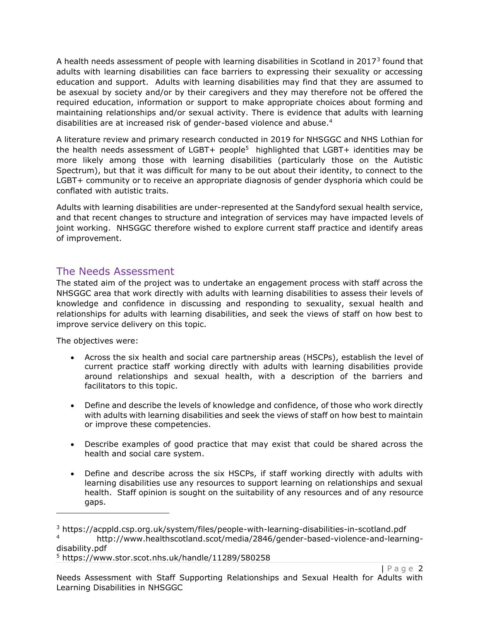A health needs assessment of people with learning disabilities in Scotland in 2017<sup>3</sup> found that adults with learning disabilities can face barriers to expressing their sexuality or accessing education and support. Adults with learning disabilities may find that they are assumed to be asexual by society and/or by their caregivers and they may therefore not be offered the required education, information or support to make appropriate choices about forming and maintaining relationships and/or sexual activity. There is evidence that adults with learning disabilities are at increased risk of gender-based violence and abuse.<sup>4</sup>

A literature review and primary research conducted in 2019 for NHSGGC and NHS Lothian for the health needs assessment of LGBT+ people<sup>5</sup> highlighted that LGBT+ identities may be more likely among those with learning disabilities (particularly those on the Autistic Spectrum), but that it was difficult for many to be out about their identity, to connect to the LGBT+ community or to receive an appropriate diagnosis of gender dysphoria which could be conflated with autistic traits.

Adults with learning disabilities are under-represented at the Sandyford sexual health service, and that recent changes to structure and integration of services may have impacted levels of joint working. NHSGGC therefore wished to explore current staff practice and identify areas of improvement.

### The Needs Assessment

The stated aim of the project was to undertake an engagement process with staff across the NHSGGC area that work directly with adults with learning disabilities to assess their levels of knowledge and confidence in discussing and responding to sexuality, sexual health and relationships for adults with learning disabilities, and seek the views of staff on how best to improve service delivery on this topic.

The objectives were:

- Across the six health and social care partnership areas (HSCPs), establish the level of current practice staff working directly with adults with learning disabilities provide around relationships and sexual health, with a description of the barriers and facilitators to this topic.
- Define and describe the levels of knowledge and confidence, of those who work directly with adults with learning disabilities and seek the views of staff on how best to maintain or improve these competencies.
- Describe examples of good practice that may exist that could be shared across the health and social care system.
- Define and describe across the six HSCPs, if staff working directly with adults with learning disabilities use any resources to support learning on relationships and sexual health. Staff opinion is sought on the suitability of any resources and of any resource gaps.

<sup>3</sup> https://acppld.csp.org.uk/system/files/people-with-learning-disabilities-in-scotland.pdf <sup>4</sup> http://www.healthscotland.scot/media/2846/gender-based-violence-and-learningdisability.pdf <sup>5</sup> https://www.stor.scot.nhs.uk/handle/11289/580258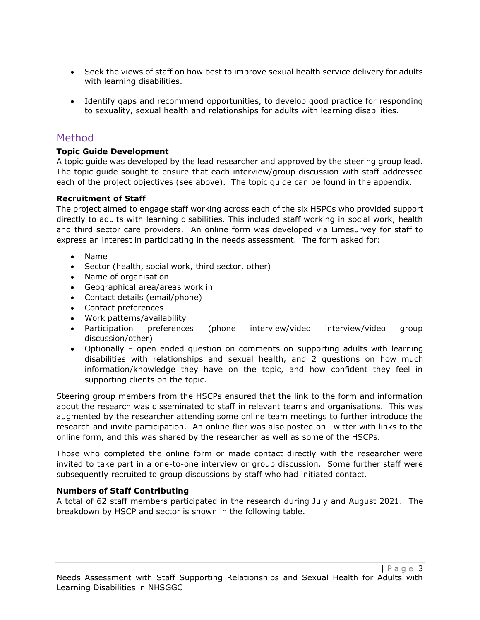- Seek the views of staff on how best to improve sexual health service delivery for adults with learning disabilities.
- Identify gaps and recommend opportunities, to develop good practice for responding to sexuality, sexual health and relationships for adults with learning disabilities.

### Method

#### **Topic Guide Development**

A topic guide was developed by the lead researcher and approved by the steering group lead. The topic guide sought to ensure that each interview/group discussion with staff addressed each of the project objectives (see above). The topic guide can be found in the appendix.

#### **Recruitment of Staff**

The project aimed to engage staff working across each of the six HSPCs who provided support directly to adults with learning disabilities. This included staff working in social work, health and third sector care providers. An online form was developed via Limesurvey for staff to express an interest in participating in the needs assessment. The form asked for:

- Name
- Sector (health, social work, third sector, other)
- Name of organisation
- Geographical area/areas work in
- Contact details (email/phone)
- Contact preferences
- Work patterns/availability
- Participation preferences (phone interview/video interview/video group discussion/other)
- Optionally open ended question on comments on supporting adults with learning disabilities with relationships and sexual health, and 2 questions on how much information/knowledge they have on the topic, and how confident they feel in supporting clients on the topic.

Steering group members from the HSCPs ensured that the link to the form and information about the research was disseminated to staff in relevant teams and organisations. This was augmented by the researcher attending some online team meetings to further introduce the research and invite participation. An online flier was also posted on Twitter with links to the online form, and this was shared by the researcher as well as some of the HSCPs.

Those who completed the online form or made contact directly with the researcher were invited to take part in a one-to-one interview or group discussion. Some further staff were subsequently recruited to group discussions by staff who had initiated contact.

#### **Numbers of Staff Contributing**

A total of 62 staff members participated in the research during July and August 2021. The breakdown by HSCP and sector is shown in the following table.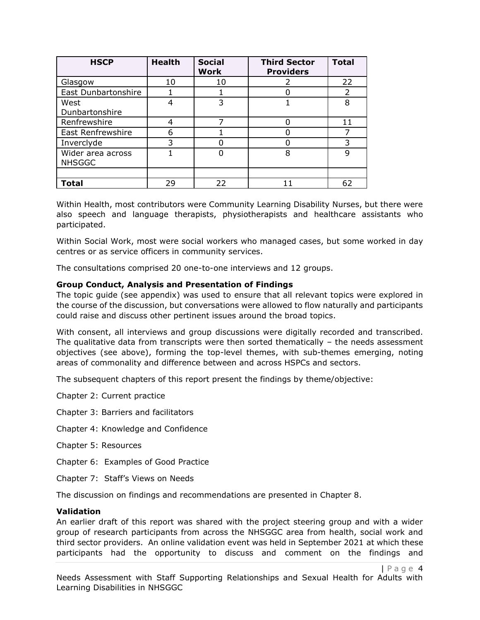| <b>HSCP</b>                        | <b>Health</b> | <b>Social</b><br><b>Work</b> | <b>Third Sector</b><br><b>Providers</b> | <b>Total</b> |
|------------------------------------|---------------|------------------------------|-----------------------------------------|--------------|
| Glasgow                            | 10            | 10                           |                                         | 22           |
| East Dunbartonshire                |               |                              |                                         | 2            |
| West<br>Dunbartonshire             |               | 3                            |                                         | 8            |
| Renfrewshire                       |               |                              |                                         | 11           |
| <b>East Renfrewshire</b>           | 6             |                              |                                         |              |
| Inverclyde                         | 3             |                              |                                         | 3            |
| Wider area across<br><b>NHSGGC</b> |               |                              | 8                                       | 9            |
|                                    |               |                              |                                         |              |
| Total                              | 29            | 22                           |                                         | 62           |

Within Health, most contributors were Community Learning Disability Nurses, but there were also speech and language therapists, physiotherapists and healthcare assistants who participated.

Within Social Work, most were social workers who managed cases, but some worked in day centres or as service officers in community services.

The consultations comprised 20 one-to-one interviews and 12 groups.

#### **Group Conduct, Analysis and Presentation of Findings**

The topic guide (see appendix) was used to ensure that all relevant topics were explored in the course of the discussion, but conversations were allowed to flow naturally and participants could raise and discuss other pertinent issues around the broad topics.

With consent, all interviews and group discussions were digitally recorded and transcribed. The qualitative data from transcripts were then sorted thematically  $-$  the needs assessment objectives (see above), forming the top-level themes, with sub-themes emerging, noting areas of commonality and difference between and across HSPCs and sectors.

The subsequent chapters of this report present the findings by theme/objective:

Chapter 2: Current practice

Chapter 3: Barriers and facilitators

- Chapter 4: Knowledge and Confidence
- Chapter 5: Resources
- Chapter 6: Examples of Good Practice
- Chapter 7: Staff's Views on Needs

The discussion on findings and recommendations are presented in Chapter 8.

#### **Validation**

An earlier draft of this report was shared with the project steering group and with a wider group of research participants from across the NHSGGC area from health, social work and third sector providers. An online validation event was held in September 2021 at which these participants had the opportunity to discuss and comment on the findings and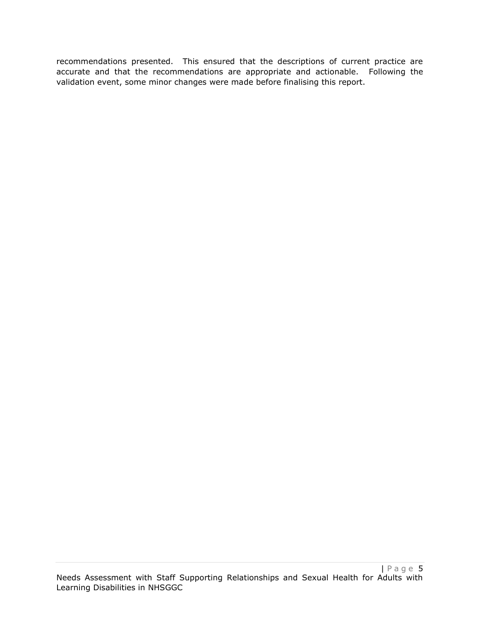recommendations presented. This ensured that the descriptions of current practice are accurate and that the recommendations are appropriate and actionable. Following the validation event, some minor changes were made before finalising this report.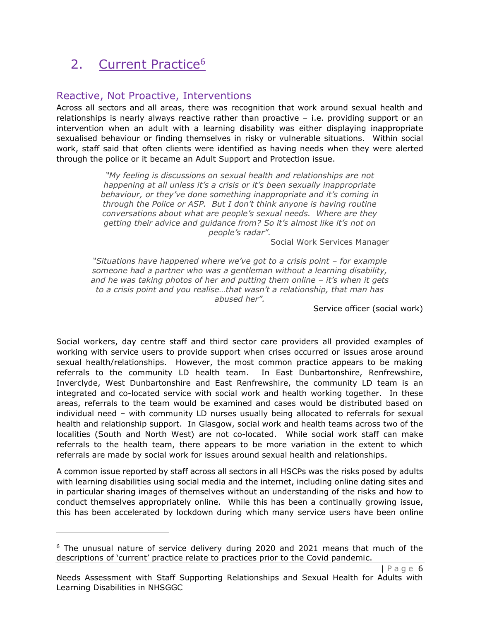## 2. Current Practice<sup>6</sup>

### Reactive, Not Proactive, Interventions

Across all sectors and all areas, there was recognition that work around sexual health and relationships is nearly always reactive rather than proactive – i.e. providing support or an intervention when an adult with a learning disability was either displaying inappropriate sexualised behaviour or finding themselves in risky or vulnerable situations. Within social work, staff said that often clients were identified as having needs when they were alerted through the police or it became an Adult Support and Protection issue.

> *"My feeling is discussions on sexual health and relationships are not happening at all unless it's a crisis or it's been sexually inappropriate behaviour, or they've done something inappropriate and it's coming in through the Police or ASP. But I don't think anyone is having routine conversations about what are people's sexual needs. Where are they getting their advice and guidance from? So it's almost like it's not on people's radar".*

> > Social Work Services Manager

*"Situations have happened where we've got to a crisis point – for example someone had a partner who was a gentleman without a learning disability, and he was taking photos of her and putting them online - it's when it gets to a crisis point and you realise…that wasn't a relationship, that man has abused her".*

Service officer (social work)

Social workers, day centre staff and third sector care providers all provided examples of working with service users to provide support when crises occurred or issues arose around sexual health/relationships. However, the most common practice appears to be making referrals to the community LD health team. In East Dunbartonshire, Renfrewshire, Inverclyde, West Dunbartonshire and East Renfrewshire, the community LD team is an integrated and co-located service with social work and health working together. In these areas, referrals to the team would be examined and cases would be distributed based on individual need – with community LD nurses usually being allocated to referrals for sexual health and relationship support. In Glasgow, social work and health teams across two of the localities (South and North West) are not co-located. While social work staff can make referrals to the health team, there appears to be more variation in the extent to which referrals are made by social work for issues around sexual health and relationships.

A common issue reported by staff across all sectors in all HSCPs was the risks posed by adults with learning disabilities using social media and the internet, including online dating sites and in particular sharing images of themselves without an understanding of the risks and how to conduct themselves appropriately online. While this has been a continually growing issue, this has been accelerated by lockdown during which many service users have been online

 $6$  The unusual nature of service delivery during 2020 and 2021 means that much of the descriptions of 'current' practice relate to practices prior to the Covid pandemic.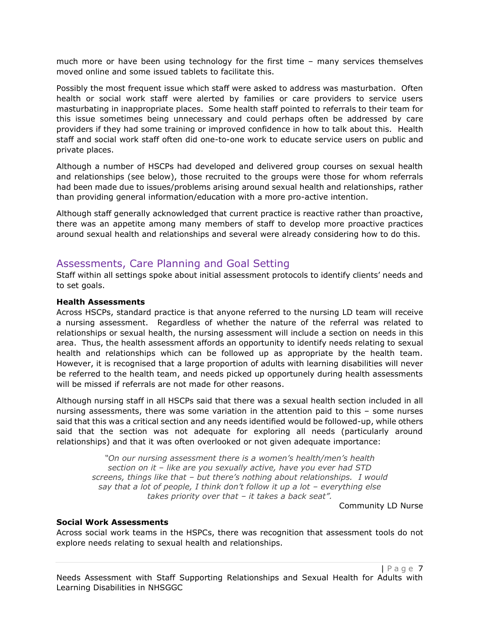much more or have been using technology for the first time – many services themselves moved online and some issued tablets to facilitate this.

Possibly the most frequent issue which staff were asked to address was masturbation. Often health or social work staff were alerted by families or care providers to service users masturbating in inappropriate places. Some health staff pointed to referrals to their team for this issue sometimes being unnecessary and could perhaps often be addressed by care providers if they had some training or improved confidence in how to talk about this. Health staff and social work staff often did one-to-one work to educate service users on public and private places.

Although a number of HSCPs had developed and delivered group courses on sexual health and relationships (see below), those recruited to the groups were those for whom referrals had been made due to issues/problems arising around sexual health and relationships, rather than providing general information/education with a more pro-active intention.

Although staff generally acknowledged that current practice is reactive rather than proactive, there was an appetite among many members of staff to develop more proactive practices around sexual health and relationships and several were already considering how to do this.

### Assessments, Care Planning and Goal Setting

Staff within all settings spoke about initial assessment protocols to identify clients' needs and to set goals.

#### **Health Assessments**

Across HSCPs, standard practice is that anyone referred to the nursing LD team will receive a nursing assessment. Regardless of whether the nature of the referral was related to relationships or sexual health, the nursing assessment will include a section on needs in this area. Thus, the health assessment affords an opportunity to identify needs relating to sexual health and relationships which can be followed up as appropriate by the health team. However, it is recognised that a large proportion of adults with learning disabilities will never be referred to the health team, and needs picked up opportunely during health assessments will be missed if referrals are not made for other reasons.

Although nursing staff in all HSCPs said that there was a sexual health section included in all nursing assessments, there was some variation in the attention paid to this – some nurses said that this was a critical section and any needs identified would be followed-up, while others said that the section was not adequate for exploring all needs (particularly around relationships) and that it was often overlooked or not given adequate importance:

*"On our nursing assessment there is a women's health/men's health section on it – like are you sexually active, have you ever had STD screens, things like that – but there's nothing about relationships. I would say that a lot of people, I think don't follow it up a lot – everything else takes priority over that – it takes a back seat".*

Community LD Nurse

#### **Social Work Assessments**

Across social work teams in the HSPCs, there was recognition that assessment tools do not explore needs relating to sexual health and relationships.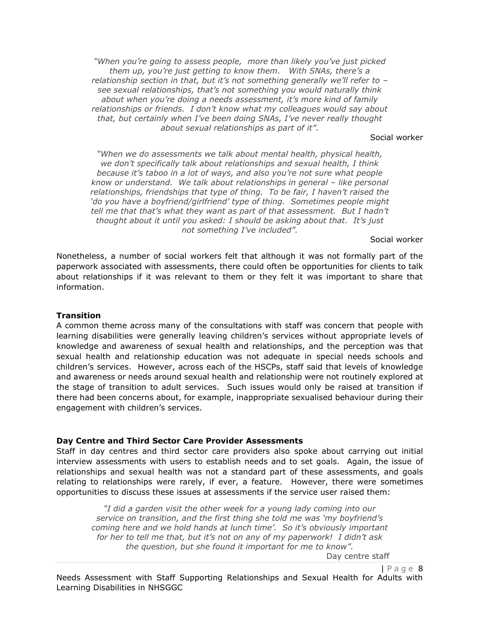*"When you're going to assess people, more than likely you've just picked them up, you're just getting to know them. With SNAs, there's a relationship section in that, but it's not something generally we'll refer to – see sexual relationships, that's not something you would naturally think about when you're doing a needs assessment, it's more kind of family relationships or friends. I don't know what my colleagues would say about that, but certainly when I've been doing SNAs, I've never really thought about sexual relationships as part of it".*

#### Social worker

*"When we do assessments we talk about mental health, physical health, we don't specifically talk about relationships and sexual health, I think because it's taboo in a lot of ways, and also you're not sure what people know or understand. We talk about relationships in general – like personal relationships, friendships that type of thing. To be fair, I haven't raised the 'do you have a boyfriend/girlfriend' type of thing. Sometimes people might tell me that that's what they want as part of that assessment. But I hadn't thought about it until you asked: I should be asking about that. It's just not something I've included".* 

Social worker

Nonetheless, a number of social workers felt that although it was not formally part of the paperwork associated with assessments, there could often be opportunities for clients to talk about relationships if it was relevant to them or they felt it was important to share that information.

#### **Transition**

A common theme across many of the consultations with staff was concern that people with learning disabilities were generally leaving children's services without appropriate levels of knowledge and awareness of sexual health and relationships, and the perception was that sexual health and relationship education was not adequate in special needs schools and children's services. However, across each of the HSCPs, staff said that levels of knowledge and awareness or needs around sexual health and relationship were not routinely explored at the stage of transition to adult services. Such issues would only be raised at transition if there had been concerns about, for example, inappropriate sexualised behaviour during their engagement with children's services.

#### **Day Centre and Third Sector Care Provider Assessments**

Staff in day centres and third sector care providers also spoke about carrying out initial interview assessments with users to establish needs and to set goals. Again, the issue of relationships and sexual health was not a standard part of these assessments, and goals relating to relationships were rarely, if ever, a feature. However, there were sometimes opportunities to discuss these issues at assessments if the service user raised them:

*"I did a garden visit the other week for a young lady coming into our service on transition, and the first thing she told me was 'my boyfriend's coming here and we hold hands at lunch time'. So it's obviously important for her to tell me that, but it's not on any of my paperwork! I didn't ask the question, but she found it important for me to know".*

Day centre staff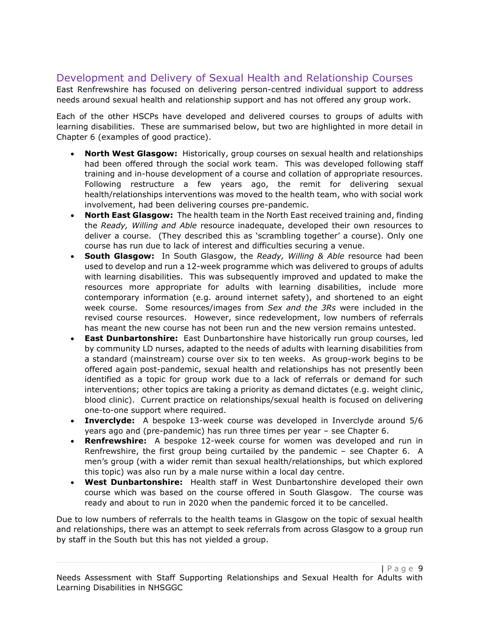### Development and Delivery of Sexual Health and Relationship Courses

East Renfrewshire has focused on delivering person-centred individual support to address needs around sexual health and relationship support and has not offered any group work.

Each of the other HSCPs have developed and delivered courses to groups of adults with learning disabilities. These are summarised below, but two are highlighted in more detail in Chapter 6 (examples of good practice).

- **North West Glasgow:** Historically, group courses on sexual health and relationships had been offered through the social work team. This was developed following staff training and in-house development of a course and collation of appropriate resources. Following restructure a few years ago, the remit for delivering sexual health/relationships interventions was moved to the health team, who with social work involvement, had been delivering courses pre-pandemic.
- **North East Glasgow:** The health team in the North East received training and, finding the *Ready, Willing and Able* resource inadequate, developed their own resources to deliver a course. (They described this as 'scrambling together' a course). Only one course has run due to lack of interest and difficulties securing a venue.
- **South Glasgow:** In South Glasgow, the *Ready, Willing & Able* resource had been used to develop and run a 12-week programme which was delivered to groups of adults with learning disabilities. This was subsequently improved and updated to make the resources more appropriate for adults with learning disabilities, include more contemporary information (e.g. around internet safety), and shortened to an eight week course. Some resources/images from *Sex and the 3Rs* were included in the revised course resources. However, since redevelopment, low numbers of referrals has meant the new course has not been run and the new version remains untested.
- **East Dunbartonshire:** East Dunbartonshire have historically run group courses, led by community LD nurses, adapted to the needs of adults with learning disabilities from a standard (mainstream) course over six to ten weeks. As group-work begins to be offered again post-pandemic, sexual health and relationships has not presently been identified as a topic for group work due to a lack of referrals or demand for such interventions; other topics are taking a priority as demand dictates (e.g. weight clinic, blood clinic). Current practice on relationships/sexual health is focused on delivering one-to-one support where required.
- **Inverclyde:** A bespoke 13-week course was developed in Inverclyde around 5/6 years ago and (pre-pandemic) has run three times per year – see Chapter 6.
- **Renfrewshire:** A bespoke 12-week course for women was developed and run in Renfrewshire, the first group being curtailed by the pandemic – see Chapter 6. A men's group (with a wider remit than sexual health/relationships, but which explored this topic) was also run by a male nurse within a local day centre.
- **West Dunbartonshire:** Health staff in West Dunbartonshire developed their own course which was based on the course offered in South Glasgow. The course was ready and about to run in 2020 when the pandemic forced it to be cancelled.

Due to low numbers of referrals to the health teams in Glasgow on the topic of sexual health and relationships, there was an attempt to seek referrals from across Glasgow to a group run by staff in the South but this has not yielded a group.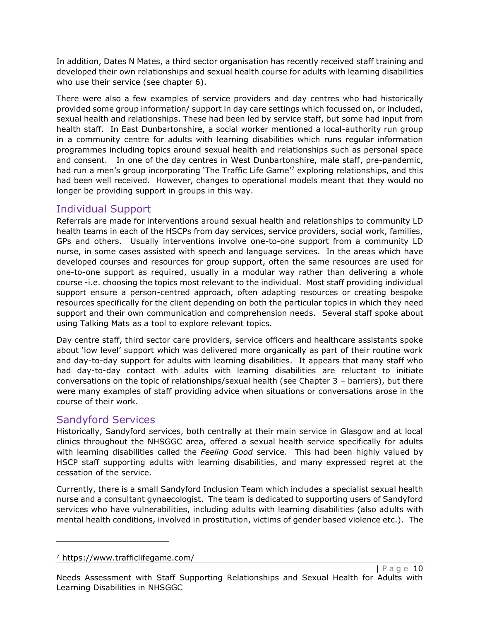In addition, Dates N Mates, a third sector organisation has recently received staff training and developed their own relationships and sexual health course for adults with learning disabilities who use their service (see chapter 6).

There were also a few examples of service providers and day centres who had historically provided some group information/ support in day care settings which focussed on, or included, sexual health and relationships. These had been led by service staff, but some had input from health staff. In East Dunbartonshire, a social worker mentioned a local-authority run group in a community centre for adults with learning disabilities which runs regular information programmes including topics around sexual health and relationships such as personal space and consent. In one of the day centres in West Dunbartonshire, male staff, pre-pandemic, had run a men's group incorporating 'The Traffic Life Game<sup>'7</sup> exploring relationships, and this had been well received. However, changes to operational models meant that they would no longer be providing support in groups in this way.

### Individual Support

Referrals are made for interventions around sexual health and relationships to community LD health teams in each of the HSCPs from day services, service providers, social work, families, GPs and others. Usually interventions involve one-to-one support from a community LD nurse, in some cases assisted with speech and language services. In the areas which have developed courses and resources for group support, often the same resources are used for one-to-one support as required, usually in a modular way rather than delivering a whole course -i.e. choosing the topics most relevant to the individual. Most staff providing individual support ensure a person-centred approach, often adapting resources or creating bespoke resources specifically for the client depending on both the particular topics in which they need support and their own communication and comprehension needs. Several staff spoke about using Talking Mats as a tool to explore relevant topics.

Day centre staff, third sector care providers, service officers and healthcare assistants spoke about 'low level' support which was delivered more organically as part of their routine work and day-to-day support for adults with learning disabilities. It appears that many staff who had day-to-day contact with adults with learning disabilities are reluctant to initiate conversations on the topic of relationships/sexual health (see Chapter 3 – barriers), but there were many examples of staff providing advice when situations or conversations arose in the course of their work.

### Sandyford Services

Historically, Sandyford services, both centrally at their main service in Glasgow and at local clinics throughout the NHSGGC area, offered a sexual health service specifically for adults with learning disabilities called the *Feeling Good* service. This had been highly valued by HSCP staff supporting adults with learning disabilities, and many expressed regret at the cessation of the service.

Currently, there is a small Sandyford Inclusion Team which includes a specialist sexual health nurse and a consultant gynaecologist. The team is dedicated to supporting users of Sandyford services who have vulnerabilities, including adults with learning disabilities (also adults with mental health conditions, involved in prostitution, victims of gender based violence etc.). The

<sup>7</sup> https://www.trafficlifegame.com/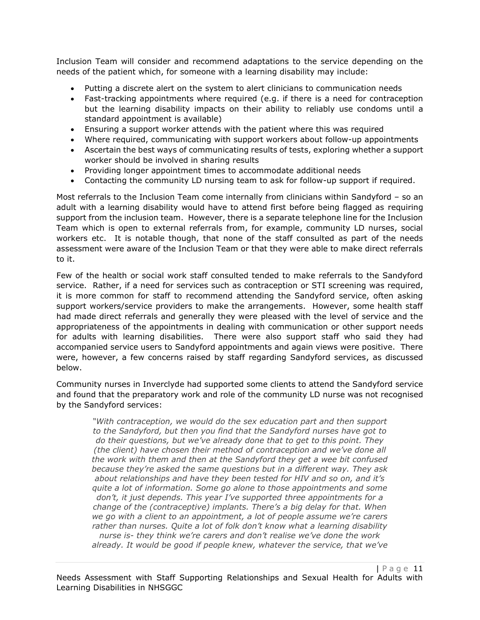Inclusion Team will consider and recommend adaptations to the service depending on the needs of the patient which, for someone with a learning disability may include:

- Putting a discrete alert on the system to alert clinicians to communication needs
- Fast-tracking appointments where required (e.g. if there is a need for contraception but the learning disability impacts on their ability to reliably use condoms until a standard appointment is available)
- Ensuring a support worker attends with the patient where this was required
- Where required, communicating with support workers about follow-up appointments
- Ascertain the best ways of communicating results of tests, exploring whether a support worker should be involved in sharing results
- Providing longer appointment times to accommodate additional needs
- Contacting the community LD nursing team to ask for follow-up support if required.

Most referrals to the Inclusion Team come internally from clinicians within Sandyford – so an adult with a learning disability would have to attend first before being flagged as requiring support from the inclusion team. However, there is a separate telephone line for the Inclusion Team which is open to external referrals from, for example, community LD nurses, social workers etc. It is notable though, that none of the staff consulted as part of the needs assessment were aware of the Inclusion Team or that they were able to make direct referrals to it.

Few of the health or social work staff consulted tended to make referrals to the Sandyford service. Rather, if a need for services such as contraception or STI screening was required, it is more common for staff to recommend attending the Sandyford service, often asking support workers/service providers to make the arrangements. However, some health staff had made direct referrals and generally they were pleased with the level of service and the appropriateness of the appointments in dealing with communication or other support needs for adults with learning disabilities. There were also support staff who said they had accompanied service users to Sandyford appointments and again views were positive. There were, however, a few concerns raised by staff regarding Sandyford services, as discussed below.

Community nurses in Inverclyde had supported some clients to attend the Sandyford service and found that the preparatory work and role of the community LD nurse was not recognised by the Sandyford services:

*"With contraception, we would do the sex education part and then support to the Sandyford, but then you find that the Sandyford nurses have got to do their questions, but we've already done that to get to this point. They (the client) have chosen their method of contraception and we've done all the work with them and then at the Sandyford they get a wee bit confused because they're asked the same questions but in a different way. They ask about relationships and have they been tested for HIV and so on, and it's quite a lot of information. Some go alone to those appointments and some don't, it just depends. This year I've supported three appointments for a change of the (contraceptive) implants. There's a big delay for that. When we go with a client to an appointment, a lot of people assume we're carers rather than nurses. Quite a lot of folk don't know what a learning disability nurse is- they think we're carers and don't realise we've done the work already. It would be good if people knew, whatever the service, that we've*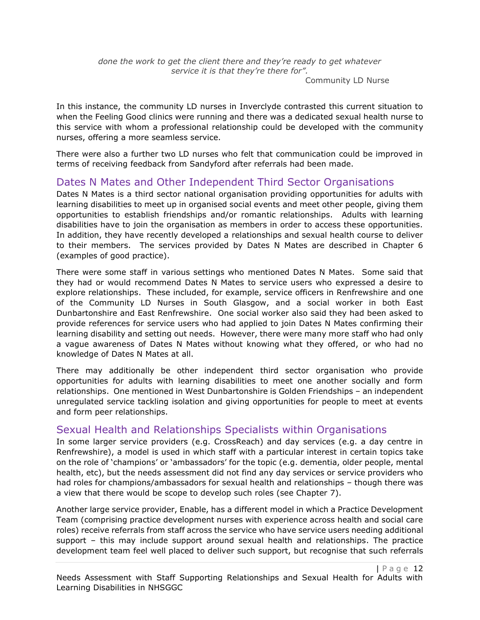*done the work to get the client there and they're ready to get whatever service it is that they're there for".*

Community LD Nurse

In this instance, the community LD nurses in Inverclyde contrasted this current situation to when the Feeling Good clinics were running and there was a dedicated sexual health nurse to this service with whom a professional relationship could be developed with the community nurses, offering a more seamless service.

There were also a further two LD nurses who felt that communication could be improved in terms of receiving feedback from Sandyford after referrals had been made.

### Dates N Mates and Other Independent Third Sector Organisations

Dates N Mates is a third sector national organisation providing opportunities for adults with learning disabilities to meet up in organised social events and meet other people, giving them opportunities to establish friendships and/or romantic relationships. Adults with learning disabilities have to join the organisation as members in order to access these opportunities. In addition, they have recently developed a relationships and sexual health course to deliver to their members. The services provided by Dates N Mates are described in Chapter 6 (examples of good practice).

There were some staff in various settings who mentioned Dates N Mates. Some said that they had or would recommend Dates N Mates to service users who expressed a desire to explore relationships. These included, for example, service officers in Renfrewshire and one of the Community LD Nurses in South Glasgow, and a social worker in both East Dunbartonshire and East Renfrewshire. One social worker also said they had been asked to provide references for service users who had applied to join Dates N Mates confirming their learning disability and setting out needs. However, there were many more staff who had only a vague awareness of Dates N Mates without knowing what they offered, or who had no knowledge of Dates N Mates at all.

There may additionally be other independent third sector organisation who provide opportunities for adults with learning disabilities to meet one another socially and form relationships. One mentioned in West Dunbartonshire is Golden Friendships – an independent unregulated service tackling isolation and giving opportunities for people to meet at events and form peer relationships.

### Sexual Health and Relationships Specialists within Organisations

In some larger service providers (e.g. CrossReach) and day services (e.g. a day centre in Renfrewshire), a model is used in which staff with a particular interest in certain topics take on the role of 'champions' or 'ambassadors' for the topic (e.g. dementia, older people, mental health, etc), but the needs assessment did not find any day services or service providers who had roles for champions/ambassadors for sexual health and relationships – though there was a view that there would be scope to develop such roles (see Chapter 7).

Another large service provider, Enable, has a different model in which a Practice Development Team (comprising practice development nurses with experience across health and social care roles) receive referrals from staff across the service who have service users needing additional support – this may include support around sexual health and relationships. The practice development team feel well placed to deliver such support, but recognise that such referrals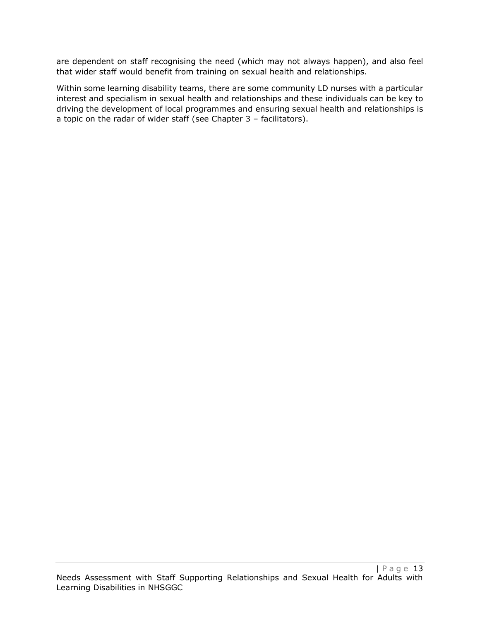are dependent on staff recognising the need (which may not always happen), and also feel that wider staff would benefit from training on sexual health and relationships.

Within some learning disability teams, there are some community LD nurses with a particular interest and specialism in sexual health and relationships and these individuals can be key to driving the development of local programmes and ensuring sexual health and relationships is a topic on the radar of wider staff (see Chapter 3 – facilitators).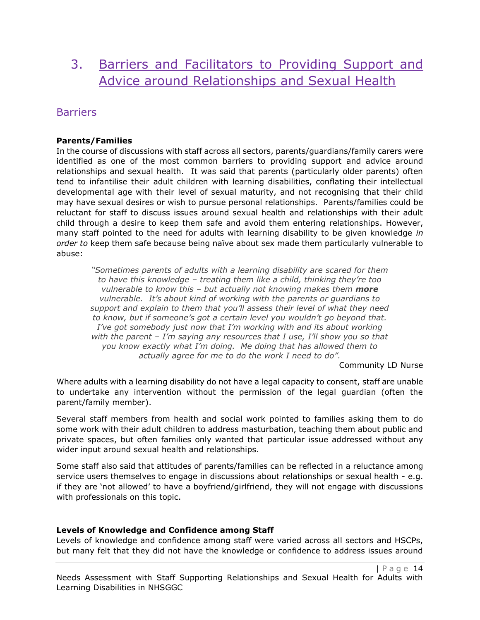## 3. Barriers and Facilitators to Providing Support and Advice around Relationships and Sexual Health

### **Barriers**

#### **Parents/Families**

In the course of discussions with staff across all sectors, parents/guardians/family carers were identified as one of the most common barriers to providing support and advice around relationships and sexual health. It was said that parents (particularly older parents) often tend to infantilise their adult children with learning disabilities, conflating their intellectual developmental age with their level of sexual maturity, and not recognising that their child may have sexual desires or wish to pursue personal relationships. Parents/families could be reluctant for staff to discuss issues around sexual health and relationships with their adult child through a desire to keep them safe and avoid them entering relationships. However, many staff pointed to the need for adults with learning disability to be given knowledge *in order to* keep them safe because being naïve about sex made them particularly vulnerable to abuse:

*"Sometimes parents of adults with a learning disability are scared for them to have this knowledge – treating them like a child, thinking they're too vulnerable to know this – but actually not knowing makes them more vulnerable. It's about kind of working with the parents or guardians to support and explain to them that you'll assess their level of what they need to know, but if someone's got a certain level you wouldn't go beyond that. I've got somebody just now that I'm working with and its about working with the parent – I'm saying any resources that I use, I'll show you so that you know exactly what I'm doing. Me doing that has allowed them to actually agree for me to do the work I need to do".*

Community LD Nurse

Where adults with a learning disability do not have a legal capacity to consent, staff are unable to undertake any intervention without the permission of the legal guardian (often the parent/family member).

Several staff members from health and social work pointed to families asking them to do some work with their adult children to address masturbation, teaching them about public and private spaces, but often families only wanted that particular issue addressed without any wider input around sexual health and relationships.

Some staff also said that attitudes of parents/families can be reflected in a reluctance among service users themselves to engage in discussions about relationships or sexual health - e.g. if they are 'not allowed' to have a boyfriend/girlfriend, they will not engage with discussions with professionals on this topic.

#### **Levels of Knowledge and Confidence among Staff**

Levels of knowledge and confidence among staff were varied across all sectors and HSCPs, but many felt that they did not have the knowledge or confidence to address issues around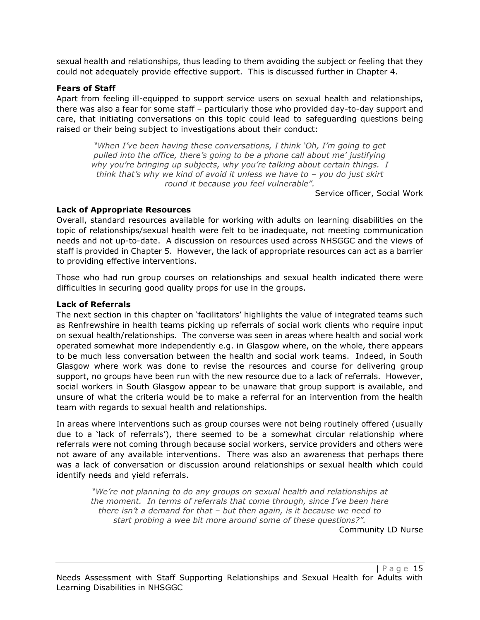sexual health and relationships, thus leading to them avoiding the subject or feeling that they could not adequately provide effective support. This is discussed further in Chapter 4.

#### **Fears of Staff**

Apart from feeling ill-equipped to support service users on sexual health and relationships, there was also a fear for some staff – particularly those who provided day-to-day support and care, that initiating conversations on this topic could lead to safeguarding questions being raised or their being subject to investigations about their conduct:

*"When I've been having these conversations, I think 'Oh, I'm going to get pulled into the office, there's going to be a phone call about me' justifying why you're bringing up subjects, why you're talking about certain things. I think that's why we kind of avoid it unless we have to – you do just skirt round it because you feel vulnerable".*

Service officer, Social Work

#### **Lack of Appropriate Resources**

Overall, standard resources available for working with adults on learning disabilities on the topic of relationships/sexual health were felt to be inadequate, not meeting communication needs and not up-to-date. A discussion on resources used across NHSGGC and the views of staff is provided in Chapter 5. However, the lack of appropriate resources can act as a barrier to providing effective interventions.

Those who had run group courses on relationships and sexual health indicated there were difficulties in securing good quality props for use in the groups.

#### **Lack of Referrals**

The next section in this chapter on 'facilitators' highlights the value of integrated teams such as Renfrewshire in health teams picking up referrals of social work clients who require input on sexual health/relationships. The converse was seen in areas where health and social work operated somewhat more independently e.g. in Glasgow where, on the whole, there appears to be much less conversation between the health and social work teams. Indeed, in South Glasgow where work was done to revise the resources and course for delivering group support, no groups have been run with the new resource due to a lack of referrals. However, social workers in South Glasgow appear to be unaware that group support is available, and unsure of what the criteria would be to make a referral for an intervention from the health team with regards to sexual health and relationships.

In areas where interventions such as group courses were not being routinely offered (usually due to a 'lack of referrals'), there seemed to be a somewhat circular relationship where referrals were not coming through because social workers, service providers and others were not aware of any available interventions. There was also an awareness that perhaps there was a lack of conversation or discussion around relationships or sexual health which could identify needs and yield referrals.

*"We're not planning to do any groups on sexual health and relationships at the moment. In terms of referrals that come through, since I've been here there isn't a demand for that – but then again, is it because we need to start probing a wee bit more around some of these questions?".*

Community LD Nurse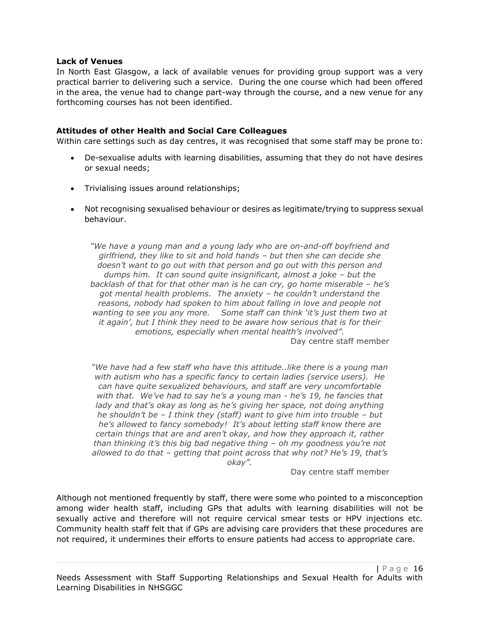#### **Lack of Venues**

In North East Glasgow, a lack of available venues for providing group support was a very practical barrier to delivering such a service. During the one course which had been offered in the area, the venue had to change part-way through the course, and a new venue for any forthcoming courses has not been identified.

#### **Attitudes of other Health and Social Care Colleagues**

Within care settings such as day centres, it was recognised that some staff may be prone to:

- De-sexualise adults with learning disabilities, assuming that they do not have desires or sexual needs;
- Trivialising issues around relationships;
- Not recognising sexualised behaviour or desires as legitimate/trying to suppress sexual behaviour.

*"We have a young man and a young lady who are on-and-off boyfriend and girlfriend, they like to sit and hold hands – but then she can decide she doesn't want to go out with that person and go out with this person and dumps him. It can sound quite insignificant, almost a joke – but the backlash of that for that other man is he can cry, go home miserable – he's got mental health problems. The anxiety – he couldn't understand the reasons, nobody had spoken to him about falling in love and people not wanting to see you any more. Some staff can think 'it's just them two at it again', but I think they need to be aware how serious that is for their emotions, especially when mental health's involved".* Day centre staff member

*"We have had a few staff who have this attitude..like there is a young man with autism who has a specific fancy to certain ladies (service users). He can have quite sexualized behaviours, and staff are very uncomfortable with that. We've had to say he's a young man - he's 19, he fancies that*  lady and that's okay as long as he's giving her space, not doing anything *he shouldn't be – I think they (staff) want to give him into trouble – but he's allowed to fancy somebody! It's about letting staff know there are certain things that are and aren't okay, and how they approach it, rather than thinking it's this big bad negative thing – oh my goodness you're not allowed to do that – getting that point across that why not? He's 19, that's okay".*

Day centre staff member

Although not mentioned frequently by staff, there were some who pointed to a misconception among wider health staff, including GPs that adults with learning disabilities will not be sexually active and therefore will not require cervical smear tests or HPV injections etc. Community health staff felt that if GPs are advising care providers that these procedures are not required, it undermines their efforts to ensure patients had access to appropriate care.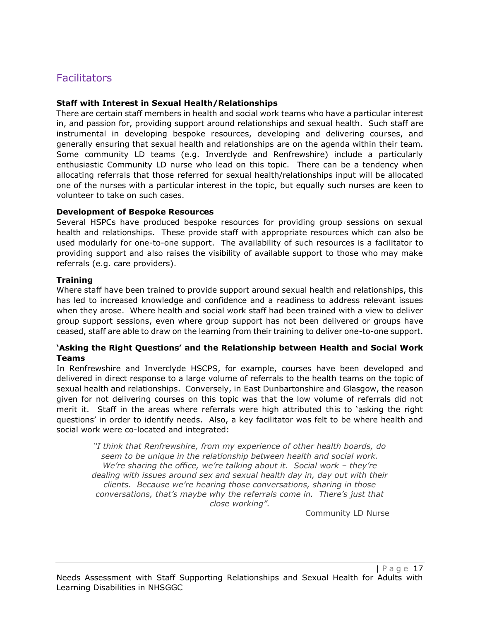### **Facilitators**

#### **Staff with Interest in Sexual Health/Relationships**

There are certain staff members in health and social work teams who have a particular interest in, and passion for, providing support around relationships and sexual health. Such staff are instrumental in developing bespoke resources, developing and delivering courses, and generally ensuring that sexual health and relationships are on the agenda within their team. Some community LD teams (e.g. Inverclyde and Renfrewshire) include a particularly enthusiastic Community LD nurse who lead on this topic. There can be a tendency when allocating referrals that those referred for sexual health/relationships input will be allocated one of the nurses with a particular interest in the topic, but equally such nurses are keen to volunteer to take on such cases.

#### **Development of Bespoke Resources**

Several HSPCs have produced bespoke resources for providing group sessions on sexual health and relationships. These provide staff with appropriate resources which can also be used modularly for one-to-one support. The availability of such resources is a facilitator to providing support and also raises the visibility of available support to those who may make referrals (e.g. care providers).

#### **Training**

Where staff have been trained to provide support around sexual health and relationships, this has led to increased knowledge and confidence and a readiness to address relevant issues when they arose. Where health and social work staff had been trained with a view to deliver group support sessions, even where group support has not been delivered or groups have ceased, staff are able to draw on the learning from their training to deliver one-to-one support.

#### **'Asking the Right Questions' and the Relationship between Health and Social Work Teams**

In Renfrewshire and Inverclyde HSCPS, for example, courses have been developed and delivered in direct response to a large volume of referrals to the health teams on the topic of sexual health and relationships. Conversely, in East Dunbartonshire and Glasgow, the reason given for not delivering courses on this topic was that the low volume of referrals did not merit it. Staff in the areas where referrals were high attributed this to 'asking the right questions' in order to identify needs. Also, a key facilitator was felt to be where health and social work were co-located and integrated:

*"I think that Renfrewshire, from my experience of other health boards, do seem to be unique in the relationship between health and social work. We're sharing the office, we're talking about it. Social work – they're dealing with issues around sex and sexual health day in, day out with their clients. Because we're hearing those conversations, sharing in those conversations, that's maybe why the referrals come in. There's just that close working".*

Community LD Nurse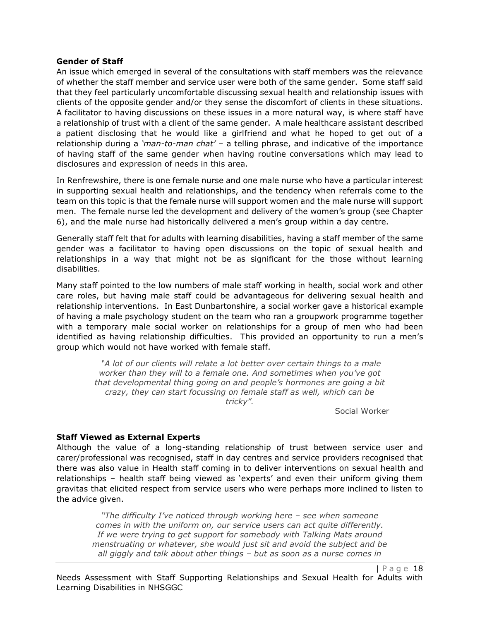#### **Gender of Staff**

An issue which emerged in several of the consultations with staff members was the relevance of whether the staff member and service user were both of the same gender. Some staff said that they feel particularly uncomfortable discussing sexual health and relationship issues with clients of the opposite gender and/or they sense the discomfort of clients in these situations. A facilitator to having discussions on these issues in a more natural way, is where staff have a relationship of trust with a client of the same gender. A male healthcare assistant described a patient disclosing that he would like a girlfriend and what he hoped to get out of a relationship during a *'man-to-man chat'* – a telling phrase, and indicative of the importance of having staff of the same gender when having routine conversations which may lead to disclosures and expression of needs in this area.

In Renfrewshire, there is one female nurse and one male nurse who have a particular interest in supporting sexual health and relationships, and the tendency when referrals come to the team on this topic is that the female nurse will support women and the male nurse will support men. The female nurse led the development and delivery of the women's group (see Chapter 6), and the male nurse had historically delivered a men's group within a day centre.

Generally staff felt that for adults with learning disabilities, having a staff member of the same gender was a facilitator to having open discussions on the topic of sexual health and relationships in a way that might not be as significant for the those without learning disabilities.

Many staff pointed to the low numbers of male staff working in health, social work and other care roles, but having male staff could be advantageous for delivering sexual health and relationship interventions. In East Dunbartonshire, a social worker gave a historical example of having a male psychology student on the team who ran a groupwork programme together with a temporary male social worker on relationships for a group of men who had been identified as having relationship difficulties. This provided an opportunity to run a men's group which would not have worked with female staff.

> *"A lot of our clients will relate a lot better over certain things to a male worker than they will to a female one. And sometimes when you've got that developmental thing going on and people's hormones are going a bit crazy, they can start focussing on female staff as well, which can be tricky".*

> > Social Worker

#### **Staff Viewed as External Experts**

Although the value of a long-standing relationship of trust between service user and carer/professional was recognised, staff in day centres and service providers recognised that there was also value in Health staff coming in to deliver interventions on sexual health and relationships – health staff being viewed as 'experts' and even their uniform giving them gravitas that elicited respect from service users who were perhaps more inclined to listen to the advice given.

*"The difficulty I've noticed through working here – see when someone comes in with the uniform on, our service users can act quite differently. If we were trying to get support for somebody with Talking Mats around menstruating or whatever, she would just sit and avoid the subject and be all giggly and talk about other things – but as soon as a nurse comes in*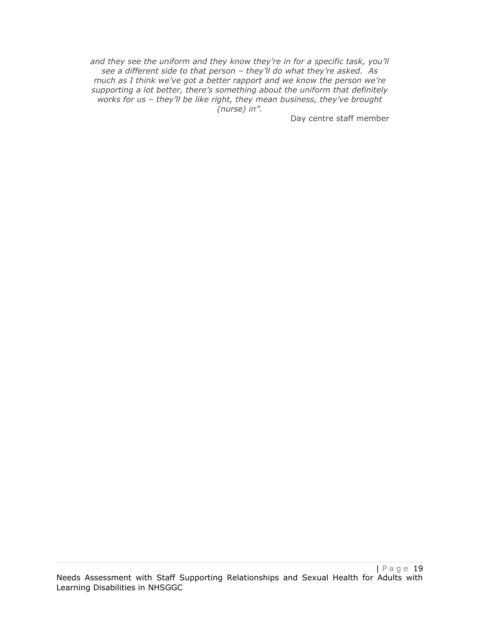*and they see the uniform and they know they're in for a specific task, you'll see a different side to that person – they'll do what they're asked. As much as I think we've got a better rapport and we know the person we're supporting a lot better, there's something about the uniform that definitely works for us – they'll be like right, they mean business, they've brought (nurse) in".*

Day centre staff member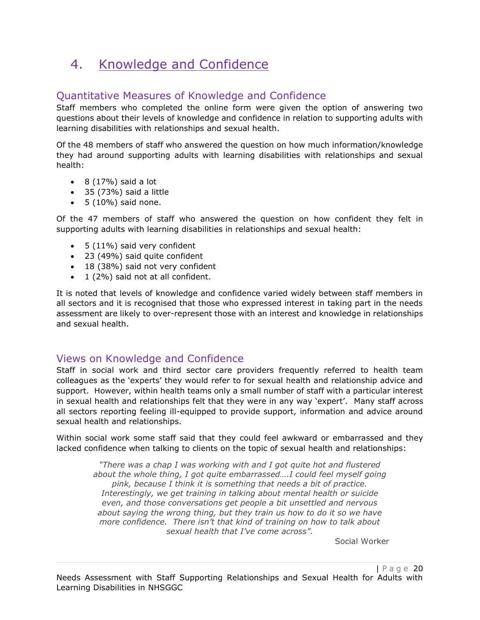## 4. Knowledge and Confidence

### Quantitative Measures of Knowledge and Confidence

Staff members who completed the online form were given the option of answering two questions about their levels of knowledge and confidence in relation to supporting adults with learning disabilities with relationships and sexual health.

Of the 48 members of staff who answered the question on how much information/knowledge they had around supporting adults with learning disabilities with relationships and sexual health:

- $\bullet$  8 (17%) said a lot
- 35 (73%) said a little
- $\bullet$  5 (10%) said none.

Of the 47 members of staff who answered the question on how confident they felt in supporting adults with learning disabilities in relationships and sexual health:

- 5 (11%) said very confident
- 23 (49%) said quite confident
- 18 (38%) said not very confident
- 1 (2%) said not at all confident.

It is noted that levels of knowledge and confidence varied widely between staff members in all sectors and it is recognised that those who expressed interest in taking part in the needs assessment are likely to over-represent those with an interest and knowledge in relationships and sexual health.

### Views on Knowledge and Confidence

Staff in social work and third sector care providers frequently referred to health team colleagues as the 'experts' they would refer to for sexual health and relationship advice and support. However, within health teams only a small number of staff with a particular interest in sexual health and relationships felt that they were in any way 'expert'. Many staff across all sectors reporting feeling ill-equipped to provide support, information and advice around sexual health and relationships.

Within social work some staff said that they could feel awkward or embarrassed and they lacked confidence when talking to clients on the topic of sexual health and relationships:

*"There was a chap I was working with and I got quite hot and flustered about the whole thing, I got quite embarrassed….I could feel myself going pink, because I think it is something that needs a bit of practice. Interestingly, we get training in talking about mental health or suicide even, and those conversations get people a bit unsettled and nervous about saying the wrong thing, but they train us how to do it so we have more confidence. There isn't that kind of training on how to talk about sexual health that I've come across".*

Social Worker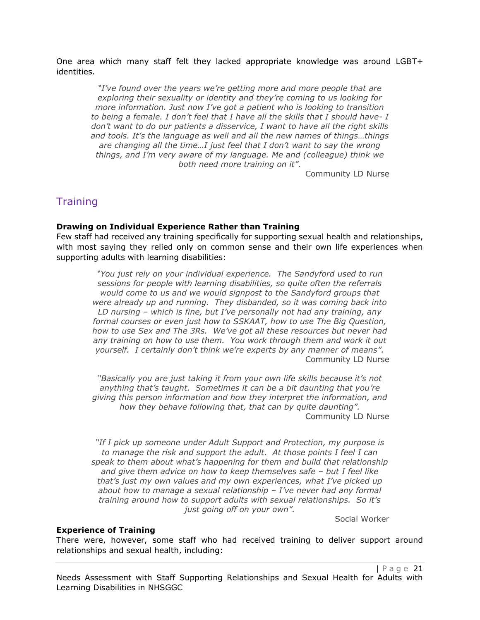One area which many staff felt they lacked appropriate knowledge was around LGBT+ identities.

*"I've found over the years we're getting more and more people that are exploring their sexuality or identity and they're coming to us looking for more information. Just now I've got a patient who is looking to transition to being a female. I don't feel that I have all the skills that I should have- I don't want to do our patients a disservice, I want to have all the right skills and tools. It's the language as well and all the new names of things…things are changing all the time…I just feel that I don't want to say the wrong things, and I'm very aware of my language. Me and (colleague) think we both need more training on it".*

Community LD Nurse

### **Training**

#### **Drawing on Individual Experience Rather than Training**

Few staff had received any training specifically for supporting sexual health and relationships, with most saying they relied only on common sense and their own life experiences when supporting adults with learning disabilities:

*"You just rely on your individual experience. The Sandyford used to run sessions for people with learning disabilities, so quite often the referrals would come to us and we would signpost to the Sandyford groups that were already up and running. They disbanded, so it was coming back into LD nursing – which is fine, but I've personally not had any training, any formal courses or even just how to SSKAAT, how to use The Big Question, how to use Sex and The 3Rs. We've got all these resources but never had any training on how to use them. You work through them and work it out yourself. I certainly don't think we're experts by any manner of means".* Community LD Nurse

*"Basically you are just taking it from your own life skills because it's not anything that's taught. Sometimes it can be a bit daunting that you're giving this person information and how they interpret the information, and how they behave following that, that can by quite daunting".* Community LD Nurse

*"If I pick up someone under Adult Support and Protection, my purpose is to manage the risk and support the adult. At those points I feel I can speak to them about what's happening for them and build that relationship and give them advice on how to keep themselves safe – but I feel like that's just my own values and my own experiences, what I've picked up about how to manage a sexual relationship – I've never had any formal training around how to support adults with sexual relationships. So it's just going off on your own".*

Social Worker

#### **Experience of Training**

There were, however, some staff who had received training to deliver support around relationships and sexual health, including: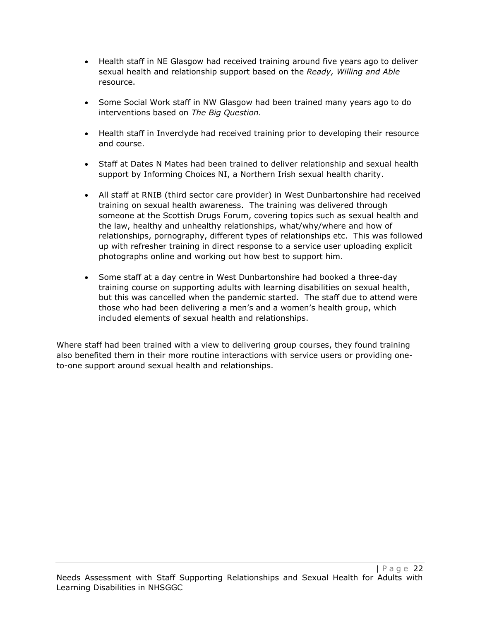- Health staff in NE Glasgow had received training around five years ago to deliver sexual health and relationship support based on the *Ready, Willing and Able*  resource.
- Some Social Work staff in NW Glasgow had been trained many years ago to do interventions based on *The Big Question.*
- Health staff in Inverclyde had received training prior to developing their resource and course.
- Staff at Dates N Mates had been trained to deliver relationship and sexual health support by Informing Choices NI, a Northern Irish sexual health charity.
- All staff at RNIB (third sector care provider) in West Dunbartonshire had received training on sexual health awareness. The training was delivered through someone at the Scottish Drugs Forum, covering topics such as sexual health and the law, healthy and unhealthy relationships, what/why/where and how of relationships, pornography, different types of relationships etc. This was followed up with refresher training in direct response to a service user uploading explicit photographs online and working out how best to support him.
- Some staff at a day centre in West Dunbartonshire had booked a three-day training course on supporting adults with learning disabilities on sexual health, but this was cancelled when the pandemic started. The staff due to attend were those who had been delivering a men's and a women's health group, which included elements of sexual health and relationships.

Where staff had been trained with a view to delivering group courses, they found training also benefited them in their more routine interactions with service users or providing oneto-one support around sexual health and relationships.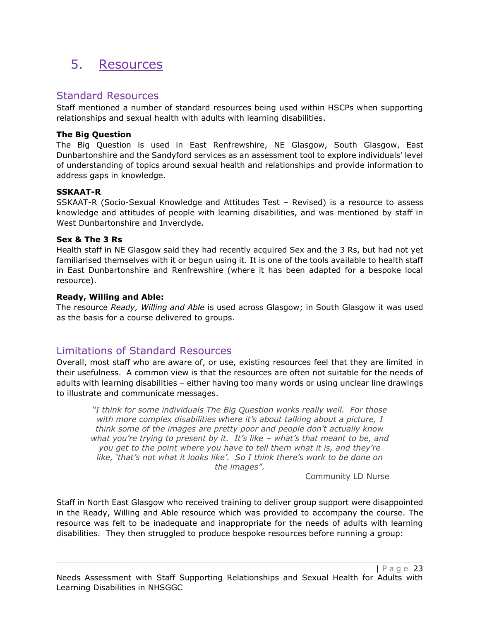## 5. Resources

### Standard Resources

Staff mentioned a number of standard resources being used within HSCPs when supporting relationships and sexual health with adults with learning disabilities.

#### **The Big Question**

The Big Question is used in East Renfrewshire, NE Glasgow, South Glasgow, East Dunbartonshire and the Sandyford services as an assessment tool to explore individuals' level of understanding of topics around sexual health and relationships and provide information to address gaps in knowledge.

#### **SSKAAT-R**

SSKAAT-R (Socio-Sexual Knowledge and Attitudes Test – Revised) is a resource to assess knowledge and attitudes of people with learning disabilities, and was mentioned by staff in West Dunbartonshire and Inverclyde.

#### **Sex & The 3 Rs**

Health staff in NE Glasgow said they had recently acquired Sex and the 3 Rs, but had not yet familiarised themselves with it or begun using it. It is one of the tools available to health staff in East Dunbartonshire and Renfrewshire (where it has been adapted for a bespoke local resource).

#### **Ready, Willing and Able:**

The resource *Ready, Willing and Able* is used across Glasgow; in South Glasgow it was used as the basis for a course delivered to groups.

### Limitations of Standard Resources

Overall, most staff who are aware of, or use, existing resources feel that they are limited in their usefulness. A common view is that the resources are often not suitable for the needs of adults with learning disabilities – either having too many words or using unclear line drawings to illustrate and communicate messages.

*"I think for some individuals The Big Question works really well. For those with more complex disabilities where it's about talking about a picture, I think some of the images are pretty poor and people don't actually know what you're trying to present by it. It's like – what's that meant to be, and you get to the point where you have to tell them what it is, and they're like, 'that's not what it looks like'. So I think there's work to be done on the images".*

Community LD Nurse

Staff in North East Glasgow who received training to deliver group support were disappointed in the Ready, Willing and Able resource which was provided to accompany the course. The resource was felt to be inadequate and inappropriate for the needs of adults with learning disabilities. They then struggled to produce bespoke resources before running a group: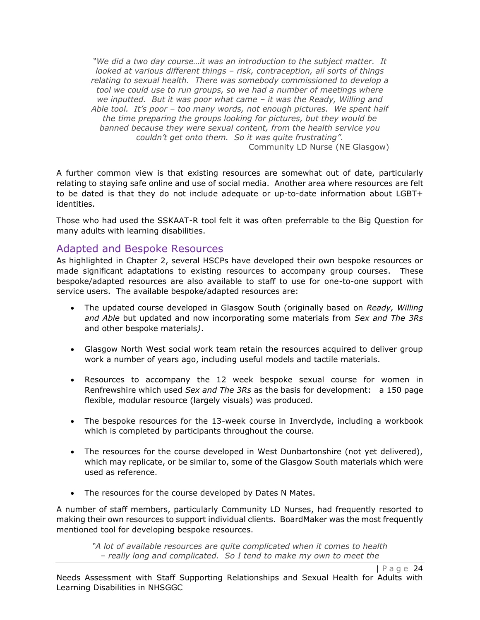*"We did a two day course…it was an introduction to the subject matter. It looked at various different things – risk, contraception, all sorts of things relating to sexual health. There was somebody commissioned to develop a tool we could use to run groups, so we had a number of meetings where we inputted. But it was poor what came – it was the Ready, Willing and Able tool. It's poor – too many words, not enough pictures. We spent half the time preparing the groups looking for pictures, but they would be banned because they were sexual content, from the health service you couldn't get onto them. So it was quite frustrating".* Community LD Nurse (NE Glasgow)

A further common view is that existing resources are somewhat out of date, particularly relating to staying safe online and use of social media. Another area where resources are felt to be dated is that they do not include adequate or up-to-date information about LGBT+ identities.

Those who had used the SSKAAT-R tool felt it was often preferrable to the Big Question for many adults with learning disabilities.

### Adapted and Bespoke Resources

As highlighted in Chapter 2, several HSCPs have developed their own bespoke resources or made significant adaptations to existing resources to accompany group courses. These bespoke/adapted resources are also available to staff to use for one-to-one support with service users. The available bespoke/adapted resources are:

- The updated course developed in Glasgow South (originally based on *Ready, Willing and Able* but updated and now incorporating some materials from *Sex and The 3Rs* and other bespoke materials*)*.
- Glasgow North West social work team retain the resources acquired to deliver group work a number of years ago, including useful models and tactile materials.
- Resources to accompany the 12 week bespoke sexual course for women in Renfrewshire which used *Sex and The 3Rs* as the basis for development: a 150 page flexible, modular resource (largely visuals) was produced.
- The bespoke resources for the 13-week course in Inverclyde, including a workbook which is completed by participants throughout the course.
- The resources for the course developed in West Dunbartonshire (not yet delivered), which may replicate, or be similar to, some of the Glasgow South materials which were used as reference.
- The resources for the course developed by Dates N Mates.

A number of staff members, particularly Community LD Nurses, had frequently resorted to making their own resources to support individual clients. BoardMaker was the most frequently mentioned tool for developing bespoke resources.

*"A lot of available resources are quite complicated when it comes to health – really long and complicated. So I tend to make my own to meet the*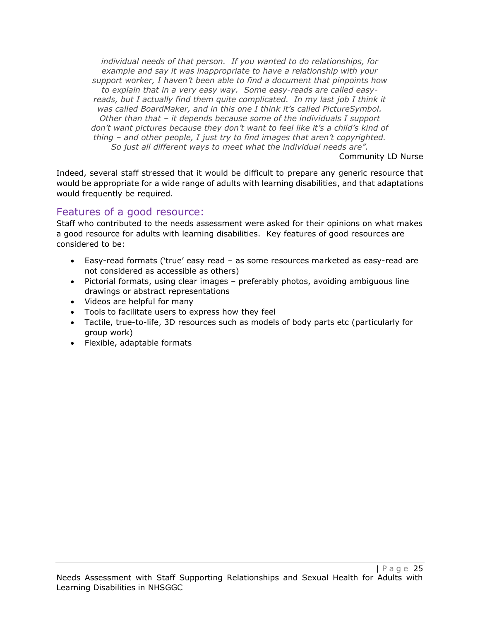*individual needs of that person. If you wanted to do relationships, for example and say it was inappropriate to have a relationship with your support worker, I haven't been able to find a document that pinpoints how to explain that in a very easy way. Some easy-reads are called easy*reads, but I actually find them quite complicated. In my last job I think it *was called BoardMaker, and in this one I think it's called PictureSymbol. Other than that – it depends because some of the individuals I support don't want pictures because they don't want to feel like it's a child's kind of thing – and other people, I just try to find images that aren't copyrighted. So just all different ways to meet what the individual needs are".*

Community LD Nurse

Indeed, several staff stressed that it would be difficult to prepare any generic resource that would be appropriate for a wide range of adults with learning disabilities, and that adaptations would frequently be required.

### Features of a good resource:

Staff who contributed to the needs assessment were asked for their opinions on what makes a good resource for adults with learning disabilities. Key features of good resources are considered to be:

- Easy-read formats ('true' easy read as some resources marketed as easy-read are not considered as accessible as others)
- Pictorial formats, using clear images preferably photos, avoiding ambiguous line drawings or abstract representations
- Videos are helpful for many
- Tools to facilitate users to express how they feel
- Tactile, true-to-life, 3D resources such as models of body parts etc (particularly for group work)
- Flexible, adaptable formats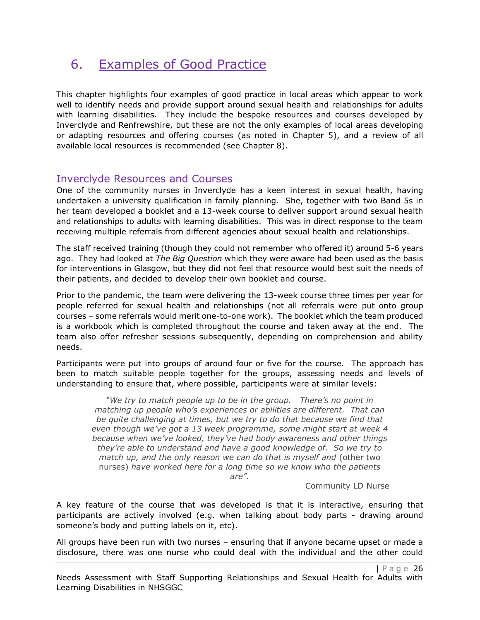## 6. Examples of Good Practice

This chapter highlights four examples of good practice in local areas which appear to work well to identify needs and provide support around sexual health and relationships for adults with learning disabilities. They include the bespoke resources and courses developed by Inverclyde and Renfrewshire, but these are not the only examples of local areas developing or adapting resources and offering courses (as noted in Chapter 5), and a review of all available local resources is recommended (see Chapter 8).

### Inverclyde Resources and Courses

One of the community nurses in Inverclyde has a keen interest in sexual health, having undertaken a university qualification in family planning. She, together with two Band 5s in her team developed a booklet and a 13-week course to deliver support around sexual health and relationships to adults with learning disabilities. This was in direct response to the team receiving multiple referrals from different agencies about sexual health and relationships.

The staff received training (though they could not remember who offered it) around 5-6 years ago. They had looked at *The Big Question* which they were aware had been used as the basis for interventions in Glasgow, but they did not feel that resource would best suit the needs of their patients, and decided to develop their own booklet and course.

Prior to the pandemic, the team were delivering the 13-week course three times per year for people referred for sexual health and relationships (not all referrals were put onto group courses – some referrals would merit one-to-one work). The booklet which the team produced is a workbook which is completed throughout the course and taken away at the end. The team also offer refresher sessions subsequently, depending on comprehension and ability needs.

Participants were put into groups of around four or five for the course. The approach has been to match suitable people together for the groups, assessing needs and levels of understanding to ensure that, where possible, participants were at similar levels:

*"We try to match people up to be in the group. There's no point in matching up people who's experiences or abilities are different. That can be quite challenging at times, but we try to do that because we find that even though we've got a 13 week programme, some might start at week 4 because when we've looked, they've had body awareness and other things they're able to understand and have a good knowledge of. So we try to match up, and the only reason we can do that is myself and* (other two nurses) *have worked here for a long time so we know who the patients* 

*are".*

Community LD Nurse

A key feature of the course that was developed is that it is interactive, ensuring that participants are actively involved (e.g. when talking about body parts - drawing around someone's body and putting labels on it, etc).

All groups have been run with two nurses – ensuring that if anyone became upset or made a disclosure, there was one nurse who could deal with the individual and the other could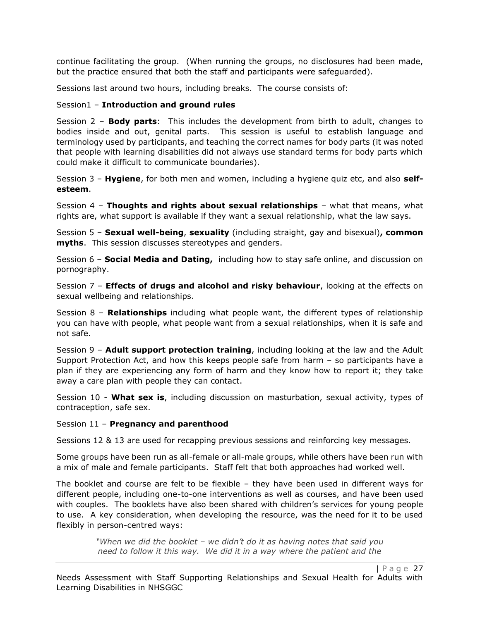continue facilitating the group. (When running the groups, no disclosures had been made, but the practice ensured that both the staff and participants were safeguarded).

Sessions last around two hours, including breaks. The course consists of:

#### Session1 – **Introduction and ground rules**

Session 2 – **Body parts**: This includes the development from birth to adult, changes to bodies inside and out, genital parts. This session is useful to establish language and terminology used by participants, and teaching the correct names for body parts (it was noted that people with learning disabilities did not always use standard terms for body parts which could make it difficult to communicate boundaries).

Session 3 – **Hygiene**, for both men and women, including a hygiene quiz etc, and also **selfesteem**.

Session 4 – **Thoughts and rights about sexual relationships** – what that means, what rights are, what support is available if they want a sexual relationship, what the law says.

Session 5 – **Sexual well-being**, **sexuality** (including straight, gay and bisexual)**, common myths**. This session discusses stereotypes and genders.

Session 6 – **Social Media and Dating,** including how to stay safe online, and discussion on pornography.

Session 7 – **Effects of drugs and alcohol and risky behaviour**, looking at the effects on sexual wellbeing and relationships.

Session 8 – **Relationships** including what people want, the different types of relationship you can have with people, what people want from a sexual relationships, when it is safe and not safe.

Session 9 – **Adult support protection training**, including looking at the law and the Adult Support Protection Act, and how this keeps people safe from harm – so participants have a plan if they are experiencing any form of harm and they know how to report it; they take away a care plan with people they can contact.

Session 10 - **What sex is**, including discussion on masturbation, sexual activity, types of contraception, safe sex.

Session 11 – **Pregnancy and parenthood**

Sessions 12 & 13 are used for recapping previous sessions and reinforcing key messages.

Some groups have been run as all-female or all-male groups, while others have been run with a mix of male and female participants. Staff felt that both approaches had worked well.

The booklet and course are felt to be flexible – they have been used in different ways for different people, including one-to-one interventions as well as courses, and have been used with couples. The booklets have also been shared with children's services for young people to use. A key consideration, when developing the resource, was the need for it to be used flexibly in person-centred ways:

> *"When we did the booklet – we didn't do it as having notes that said you need to follow it this way. We did it in a way where the patient and the*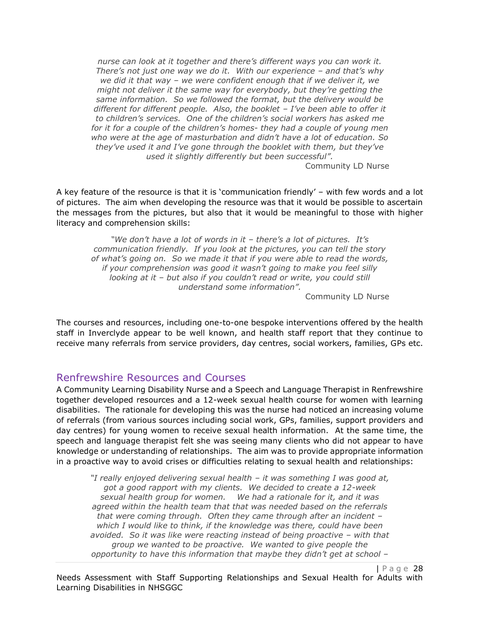*nurse can look at it together and there's different ways you can work it. There's not just one way we do it. With our experience – and that's why we did it that way – we were confident enough that if we deliver it, we might not deliver it the same way for everybody, but they're getting the same information. So we followed the format, but the delivery would be different for different people. Also, the booklet – I've been able to offer it to children's services. One of the children's social workers has asked me for it for a couple of the children's homes- they had a couple of young men who were at the age of masturbation and didn't have a lot of education. So they've used it and I've gone through the booklet with them, but they've used it slightly differently but been successful".*

Community LD Nurse

A key feature of the resource is that it is 'communication friendly' – with few words and a lot of pictures. The aim when developing the resource was that it would be possible to ascertain the messages from the pictures, but also that it would be meaningful to those with higher literacy and comprehension skills:

*"We don't have a lot of words in it – there's a lot of pictures. It's communication friendly. If you look at the pictures, you can tell the story of what's going on. So we made it that if you were able to read the words, if your comprehension was good it wasn't going to make you feel silly looking at it – but also if you couldn't read or write, you could still understand some information".*

Community LD Nurse

The courses and resources, including one-to-one bespoke interventions offered by the health staff in Inverclyde appear to be well known, and health staff report that they continue to receive many referrals from service providers, day centres, social workers, families, GPs etc.

#### Renfrewshire Resources and Courses

A Community Learning Disability Nurse and a Speech and Language Therapist in Renfrewshire together developed resources and a 12-week sexual health course for women with learning disabilities. The rationale for developing this was the nurse had noticed an increasing volume of referrals (from various sources including social work, GPs, families, support providers and day centres) for young women to receive sexual health information. At the same time, the speech and language therapist felt she was seeing many clients who did not appear to have knowledge or understanding of relationships. The aim was to provide appropriate information in a proactive way to avoid crises or difficulties relating to sexual health and relationships:

*"I really enjoyed delivering sexual health – it was something I was good at, got a good rapport with my clients. We decided to create a 12-week sexual health group for women. We had a rationale for it, and it was agreed within the health team that that was needed based on the referrals that were coming through. Often they came through after an incident – which I would like to think, if the knowledge was there, could have been avoided. So it was like were reacting instead of being proactive – with that group we wanted to be proactive. We wanted to give people the opportunity to have this information that maybe they didn't get at school –*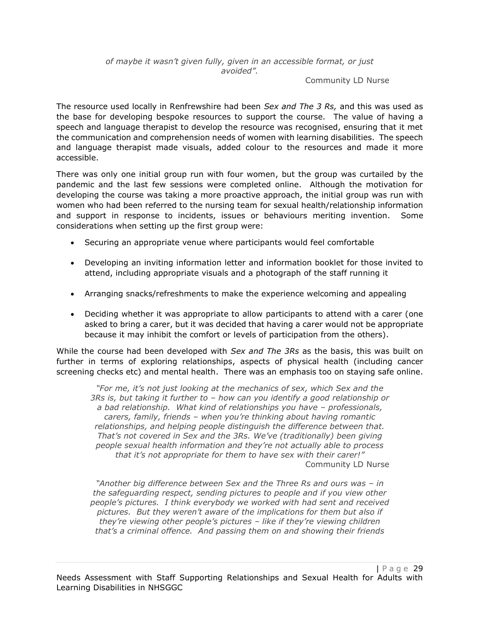Community LD Nurse

The resource used locally in Renfrewshire had been *Sex and The 3 Rs,* and this was used as the base for developing bespoke resources to support the course. The value of having a speech and language therapist to develop the resource was recognised, ensuring that it met the communication and comprehension needs of women with learning disabilities. The speech and language therapist made visuals, added colour to the resources and made it more accessible.

There was only one initial group run with four women, but the group was curtailed by the pandemic and the last few sessions were completed online. Although the motivation for developing the course was taking a more proactive approach, the initial group was run with women who had been referred to the nursing team for sexual health/relationship information and support in response to incidents, issues or behaviours meriting invention. Some considerations when setting up the first group were:

- Securing an appropriate venue where participants would feel comfortable
- Developing an inviting information letter and information booklet for those invited to attend, including appropriate visuals and a photograph of the staff running it
- Arranging snacks/refreshments to make the experience welcoming and appealing
- Deciding whether it was appropriate to allow participants to attend with a carer (one asked to bring a carer, but it was decided that having a carer would not be appropriate because it may inhibit the comfort or levels of participation from the others).

While the course had been developed with *Sex and The 3Rs* as the basis, this was built on further in terms of exploring relationships, aspects of physical health (including cancer screening checks etc) and mental health. There was an emphasis too on staying safe online.

*"For me, it's not just looking at the mechanics of sex, which Sex and the 3Rs is, but taking it further to – how can you identify a good relationship or a bad relationship. What kind of relationships you have – professionals, carers, family, friends – when you're thinking about having romantic relationships, and helping people distinguish the difference between that. That's not covered in Sex and the 3Rs. We've (traditionally) been giving people sexual health information and they're not actually able to process that it's not appropriate for them to have sex with their carer!"*  Community LD Nurse

*"Another big difference between Sex and the Three Rs and ours was – in the safeguarding respect, sending pictures to people and if you view other people's pictures. I think everybody we worked with had sent and received pictures. But they weren't aware of the implications for them but also if they're viewing other people's pictures – like if they're viewing children that's a criminal offence. And passing them on and showing their friends*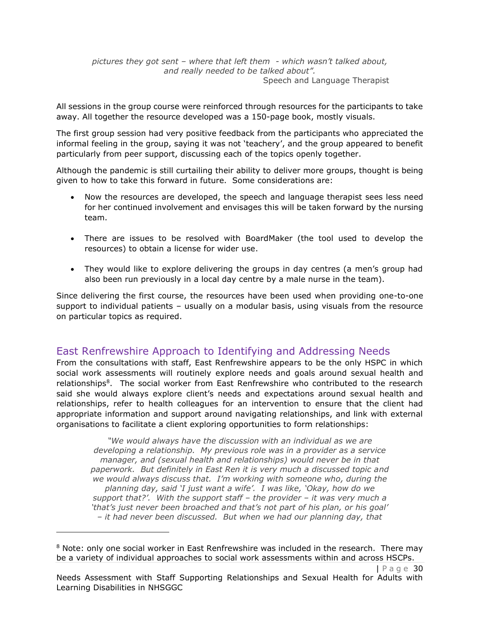*pictures they got sent – where that left them - which wasn't talked about, and really needed to be talked about".* Speech and Language Therapist

All sessions in the group course were reinforced through resources for the participants to take away. All together the resource developed was a 150-page book, mostly visuals.

The first group session had very positive feedback from the participants who appreciated the informal feeling in the group, saying it was not 'teachery', and the group appeared to benefit particularly from peer support, discussing each of the topics openly together.

Although the pandemic is still curtailing their ability to deliver more groups, thought is being given to how to take this forward in future. Some considerations are:

- Now the resources are developed, the speech and language therapist sees less need for her continued involvement and envisages this will be taken forward by the nursing team.
- There are issues to be resolved with BoardMaker (the tool used to develop the resources) to obtain a license for wider use.
- They would like to explore delivering the groups in day centres (a men's group had also been run previously in a local day centre by a male nurse in the team).

Since delivering the first course, the resources have been used when providing one-to-one support to individual patients – usually on a modular basis, using visuals from the resource on particular topics as required.

### East Renfrewshire Approach to Identifying and Addressing Needs

From the consultations with staff, East Renfrewshire appears to be the only HSPC in which social work assessments will routinely explore needs and goals around sexual health and relationships<sup>8</sup>. The social worker from East Renfrewshire who contributed to the research said she would always explore client's needs and expectations around sexual health and relationships, refer to health colleagues for an intervention to ensure that the client had appropriate information and support around navigating relationships, and link with external organisations to facilitate a client exploring opportunities to form relationships:

*"We would always have the discussion with an individual as we are developing a relationship. My previous role was in a provider as a service manager, and (sexual health and relationships) would never be in that paperwork. But definitely in East Ren it is very much a discussed topic and we would always discuss that. I'm working with someone who, during the planning day, said 'I just want a wife'. I was like, 'Okay, how do we support that?'. With the support staff – the provider – it was very much a 'that's just never been broached and that's not part of his plan, or his goal' – it had never been discussed. But when we had our planning day, that* 

<sup>&</sup>lt;sup>8</sup> Note: only one social worker in East Renfrewshire was included in the research. There may be a variety of individual approaches to social work assessments within and across HSCPs.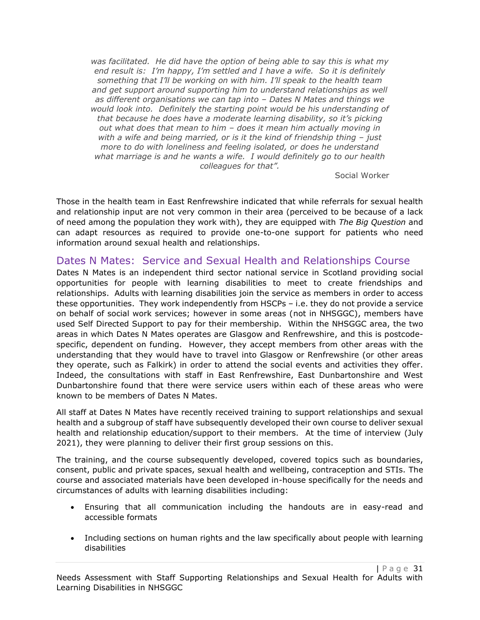*was facilitated. He did have the option of being able to say this is what my end result is: I'm happy, I'm settled and I have a wife. So it is definitely something that I'll be working on with him. I'll speak to the health team and get support around supporting him to understand relationships as well as different organisations we can tap into – Dates N Mates and things we would look into. Definitely the starting point would be his understanding of that because he does have a moderate learning disability, so it's picking out what does that mean to him – does it mean him actually moving in with a wife and being married, or is it the kind of friendship thing - just more to do with loneliness and feeling isolated, or does he understand what marriage is and he wants a wife. I would definitely go to our health colleagues for that".*

Social Worker

Those in the health team in East Renfrewshire indicated that while referrals for sexual health and relationship input are not very common in their area (perceived to be because of a lack of need among the population they work with), they are equipped with *The Big Question* and can adapt resources as required to provide one-to-one support for patients who need information around sexual health and relationships.

### Dates N Mates: Service and Sexual Health and Relationships Course

Dates N Mates is an independent third sector national service in Scotland providing social opportunities for people with learning disabilities to meet to create friendships and relationships. Adults with learning disabilities join the service as members in order to access these opportunities. They work independently from HSCPs – i.e. they do not provide a service on behalf of social work services; however in some areas (not in NHSGGC), members have used Self Directed Support to pay for their membership. Within the NHSGGC area, the two areas in which Dates N Mates operates are Glasgow and Renfrewshire, and this is postcodespecific, dependent on funding. However, they accept members from other areas with the understanding that they would have to travel into Glasgow or Renfrewshire (or other areas they operate, such as Falkirk) in order to attend the social events and activities they offer. Indeed, the consultations with staff in East Renfrewshire, East Dunbartonshire and West Dunbartonshire found that there were service users within each of these areas who were known to be members of Dates N Mates.

All staff at Dates N Mates have recently received training to support relationships and sexual health and a subgroup of staff have subsequently developed their own course to deliver sexual health and relationship education/support to their members. At the time of interview (July 2021), they were planning to deliver their first group sessions on this.

The training, and the course subsequently developed, covered topics such as boundaries, consent, public and private spaces, sexual health and wellbeing, contraception and STIs. The course and associated materials have been developed in-house specifically for the needs and circumstances of adults with learning disabilities including:

- Ensuring that all communication including the handouts are in easy-read and accessible formats
- Including sections on human rights and the law specifically about people with learning disabilities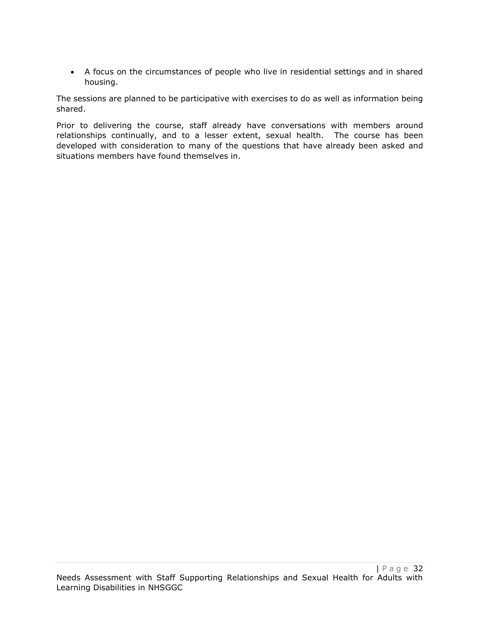• A focus on the circumstances of people who live in residential settings and in shared housing.

The sessions are planned to be participative with exercises to do as well as information being shared.

Prior to delivering the course, staff already have conversations with members around relationships continually, and to a lesser extent, sexual health. The course has been developed with consideration to many of the questions that have already been asked and situations members have found themselves in.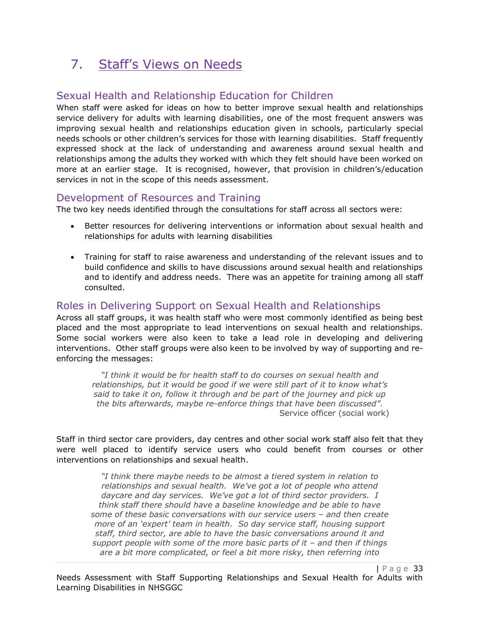## 7. Staff's Views on Needs

### Sexual Health and Relationship Education for Children

When staff were asked for ideas on how to better improve sexual health and relationships service delivery for adults with learning disabilities, one of the most frequent answers was improving sexual health and relationships education given in schools, particularly special needs schools or other children's services for those with learning disabilities. Staff frequently expressed shock at the lack of understanding and awareness around sexual health and relationships among the adults they worked with which they felt should have been worked on more at an earlier stage. It is recognised, however, that provision in children's/education services in not in the scope of this needs assessment.

### Development of Resources and Training

The two key needs identified through the consultations for staff across all sectors were:

- Better resources for delivering interventions or information about sexual health and relationships for adults with learning disabilities
- Training for staff to raise awareness and understanding of the relevant issues and to build confidence and skills to have discussions around sexual health and relationships and to identify and address needs. There was an appetite for training among all staff consulted.

### Roles in Delivering Support on Sexual Health and Relationships

Across all staff groups, it was health staff who were most commonly identified as being best placed and the most appropriate to lead interventions on sexual health and relationships. Some social workers were also keen to take a lead role in developing and delivering interventions. Other staff groups were also keen to be involved by way of supporting and reenforcing the messages:

*"I think it would be for health staff to do courses on sexual health and relationships, but it would be good if we were still part of it to know what's said to take it on, follow it through and be part of the journey and pick up the bits afterwards, maybe re-enforce things that have been discussed".* Service officer (social work)

Staff in third sector care providers, day centres and other social work staff also felt that they were well placed to identify service users who could benefit from courses or other interventions on relationships and sexual health.

*"I think there maybe needs to be almost a tiered system in relation to relationships and sexual health. We've got a lot of people who attend daycare and day services. We've got a lot of third sector providers. I think staff there should have a baseline knowledge and be able to have some of these basic conversations with our service users – and then create more of an 'expert' team in health. So day service staff, housing support staff, third sector, are able to have the basic conversations around it and support people with some of the more basic parts of it – and then if things are a bit more complicated, or feel a bit more risky, then referring into*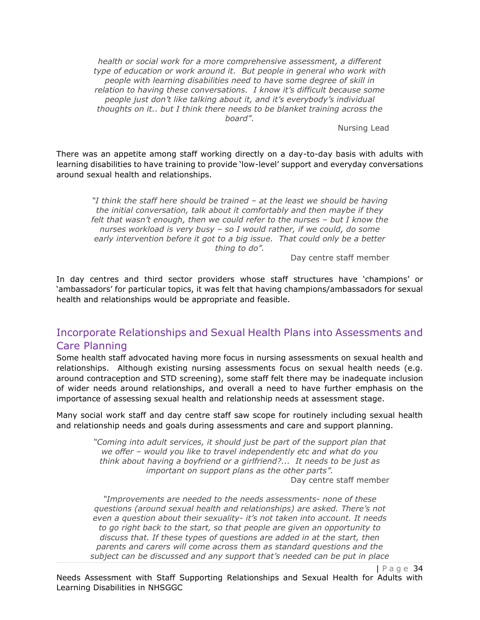*health or social work for a more comprehensive assessment, a different type of education or work around it. But people in general who work with people with learning disabilities need to have some degree of skill in relation to having these conversations. I know it's difficult because some people just don't like talking about it, and it's everybody's individual thoughts on it.. but I think there needs to be blanket training across the board".*

Nursing Lead

There was an appetite among staff working directly on a day-to-day basis with adults with learning disabilities to have training to provide 'low-level' support and everyday conversations around sexual health and relationships.

*"I think the staff here should be trained – at the least we should be having the initial conversation, talk about it comfortably and then maybe if they*  felt that wasn't enough, then we could refer to the nurses - but I know the *nurses workload is very busy – so I would rather, if we could, do some early intervention before it got to a big issue. That could only be a better thing to do".*

Day centre staff member

In day centres and third sector providers whose staff structures have 'champions' or 'ambassadors' for particular topics, it was felt that having champions/ambassadors for sexual health and relationships would be appropriate and feasible.

### Incorporate Relationships and Sexual Health Plans into Assessments and Care Planning

Some health staff advocated having more focus in nursing assessments on sexual health and relationships. Although existing nursing assessments focus on sexual health needs (e.g. around contraception and STD screening), some staff felt there may be inadequate inclusion of wider needs around relationships, and overall a need to have further emphasis on the importance of assessing sexual health and relationship needs at assessment stage.

Many social work staff and day centre staff saw scope for routinely including sexual health and relationship needs and goals during assessments and care and support planning.

> *"Coming into adult services, it should just be part of the support plan that we offer – would you like to travel independently etc and what do you think about having a boyfriend or a girlfriend?... It needs to be just as important on support plans as the other parts".* Day centre staff member

*"Improvements are needed to the needs assessments- none of these questions (around sexual health and relationships) are asked. There's not even a question about their sexuality- it's not taken into account. It needs to go right back to the start, so that people are given an opportunity to discuss that. If these types of questions are added in at the start, then parents and carers will come across them as standard questions and the subject can be discussed and any support that's needed can be put in place*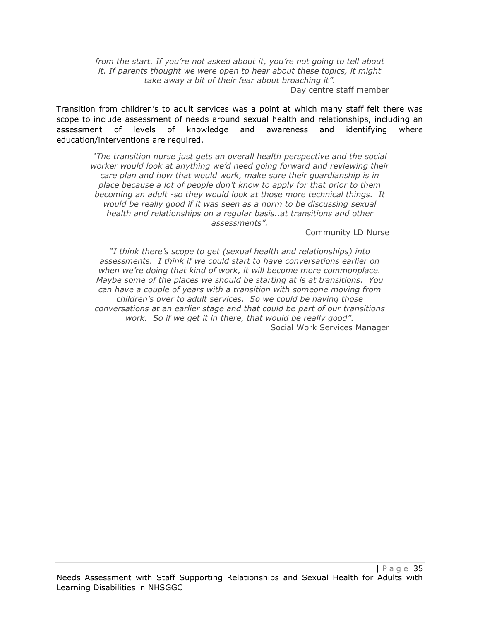*from the start. If you're not asked about it, you're not going to tell about it. If parents thought we were open to hear about these topics, it might take away a bit of their fear about broaching it".* Day centre staff member

Transition from children's to adult services was a point at which many staff felt there was scope to include assessment of needs around sexual health and relationships, including an assessment of levels of knowledge and awareness and identifying where education/interventions are required.

*"The transition nurse just gets an overall health perspective and the social worker would look at anything we'd need going forward and reviewing their care plan and how that would work, make sure their guardianship is in place because a lot of people don't know to apply for that prior to them becoming an adult -so they would look at those more technical things. It would be really good if it was seen as a norm to be discussing sexual health and relationships on a regular basis..at transitions and other assessments".*

Community LD Nurse

*"I think there's scope to get (sexual health and relationships) into assessments. I think if we could start to have conversations earlier on when we're doing that kind of work, it will become more commonplace. Maybe some of the places we should be starting at is at transitions. You can have a couple of years with a transition with someone moving from children's over to adult services. So we could be having those conversations at an earlier stage and that could be part of our transitions work. So if we get it in there, that would be really good".* Social Work Services Manager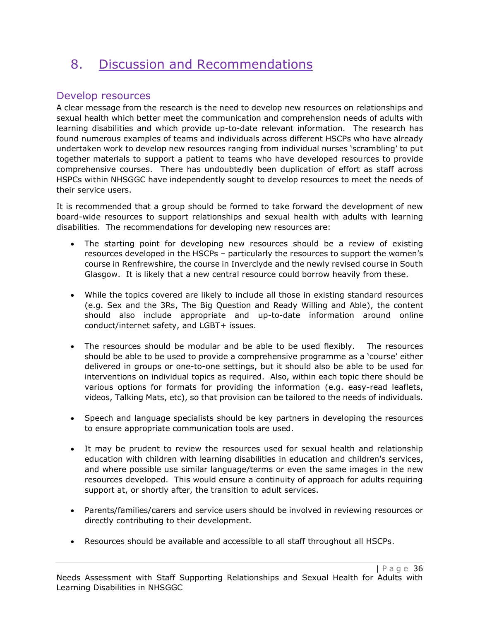## 8. Discussion and Recommendations

### Develop resources

A clear message from the research is the need to develop new resources on relationships and sexual health which better meet the communication and comprehension needs of adults with learning disabilities and which provide up-to-date relevant information. The research has found numerous examples of teams and individuals across different HSCPs who have already undertaken work to develop new resources ranging from individual nurses 'scrambling' to put together materials to support a patient to teams who have developed resources to provide comprehensive courses. There has undoubtedly been duplication of effort as staff across HSPCs within NHSGGC have independently sought to develop resources to meet the needs of their service users.

It is recommended that a group should be formed to take forward the development of new board-wide resources to support relationships and sexual health with adults with learning disabilities. The recommendations for developing new resources are:

- The starting point for developing new resources should be a review of existing resources developed in the HSCPs – particularly the resources to support the women's course in Renfrewshire, the course in Inverclyde and the newly revised course in South Glasgow. It is likely that a new central resource could borrow heavily from these.
- While the topics covered are likely to include all those in existing standard resources (e.g. Sex and the 3Rs, The Big Question and Ready Willing and Able), the content should also include appropriate and up-to-date information around online conduct/internet safety, and LGBT+ issues.
- The resources should be modular and be able to be used flexibly. The resources should be able to be used to provide a comprehensive programme as a 'course' either delivered in groups or one-to-one settings, but it should also be able to be used for interventions on individual topics as required. Also, within each topic there should be various options for formats for providing the information (e.g. easy-read leaflets, videos, Talking Mats, etc), so that provision can be tailored to the needs of individuals.
- Speech and language specialists should be key partners in developing the resources to ensure appropriate communication tools are used.
- It may be prudent to review the resources used for sexual health and relationship education with children with learning disabilities in education and children's services, and where possible use similar language/terms or even the same images in the new resources developed. This would ensure a continuity of approach for adults requiring support at, or shortly after, the transition to adult services.
- Parents/families/carers and service users should be involved in reviewing resources or directly contributing to their development.
- Resources should be available and accessible to all staff throughout all HSCPs.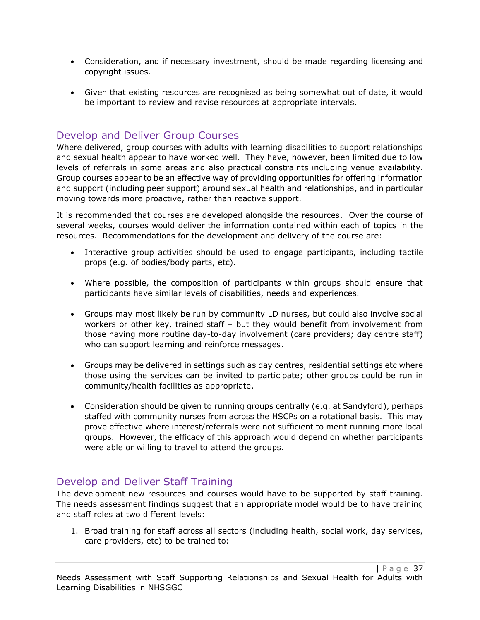- Consideration, and if necessary investment, should be made regarding licensing and copyright issues.
- Given that existing resources are recognised as being somewhat out of date, it would be important to review and revise resources at appropriate intervals.

### Develop and Deliver Group Courses

Where delivered, group courses with adults with learning disabilities to support relationships and sexual health appear to have worked well. They have, however, been limited due to low levels of referrals in some areas and also practical constraints including venue availability. Group courses appear to be an effective way of providing opportunities for offering information and support (including peer support) around sexual health and relationships, and in particular moving towards more proactive, rather than reactive support.

It is recommended that courses are developed alongside the resources. Over the course of several weeks, courses would deliver the information contained within each of topics in the resources. Recommendations for the development and delivery of the course are:

- Interactive group activities should be used to engage participants, including tactile props (e.g. of bodies/body parts, etc).
- Where possible, the composition of participants within groups should ensure that participants have similar levels of disabilities, needs and experiences.
- Groups may most likely be run by community LD nurses, but could also involve social workers or other key, trained staff – but they would benefit from involvement from those having more routine day-to-day involvement (care providers; day centre staff) who can support learning and reinforce messages.
- Groups may be delivered in settings such as day centres, residential settings etc where those using the services can be invited to participate; other groups could be run in community/health facilities as appropriate.
- Consideration should be given to running groups centrally (e.g. at Sandyford), perhaps staffed with community nurses from across the HSCPs on a rotational basis. This may prove effective where interest/referrals were not sufficient to merit running more local groups. However, the efficacy of this approach would depend on whether participants were able or willing to travel to attend the groups.

### Develop and Deliver Staff Training

The development new resources and courses would have to be supported by staff training. The needs assessment findings suggest that an appropriate model would be to have training and staff roles at two different levels:

1. Broad training for staff across all sectors (including health, social work, day services, care providers, etc) to be trained to: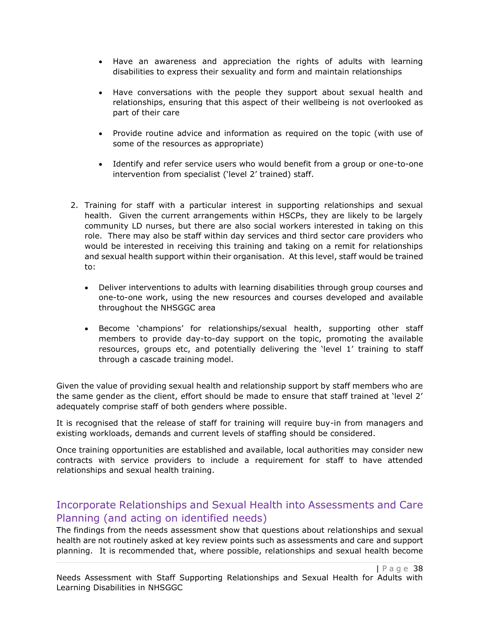- Have an awareness and appreciation the rights of adults with learning disabilities to express their sexuality and form and maintain relationships
- Have conversations with the people they support about sexual health and relationships, ensuring that this aspect of their wellbeing is not overlooked as part of their care
- Provide routine advice and information as required on the topic (with use of some of the resources as appropriate)
- Identify and refer service users who would benefit from a group or one-to-one intervention from specialist ('level 2' trained) staff.
- 2. Training for staff with a particular interest in supporting relationships and sexual health. Given the current arrangements within HSCPs, they are likely to be largely community LD nurses, but there are also social workers interested in taking on this role. There may also be staff within day services and third sector care providers who would be interested in receiving this training and taking on a remit for relationships and sexual health support within their organisation. At this level, staff would be trained to:
	- Deliver interventions to adults with learning disabilities through group courses and one-to-one work, using the new resources and courses developed and available throughout the NHSGGC area
	- Become 'champions' for relationships/sexual health, supporting other staff members to provide day-to-day support on the topic, promoting the available resources, groups etc, and potentially delivering the 'level 1' training to staff through a cascade training model.

Given the value of providing sexual health and relationship support by staff members who are the same gender as the client, effort should be made to ensure that staff trained at 'level 2' adequately comprise staff of both genders where possible.

It is recognised that the release of staff for training will require buy-in from managers and existing workloads, demands and current levels of staffing should be considered.

Once training opportunities are established and available, local authorities may consider new contracts with service providers to include a requirement for staff to have attended relationships and sexual health training.

### Incorporate Relationships and Sexual Health into Assessments and Care Planning (and acting on identified needs)

The findings from the needs assessment show that questions about relationships and sexual health are not routinely asked at key review points such as assessments and care and support planning. It is recommended that, where possible, relationships and sexual health become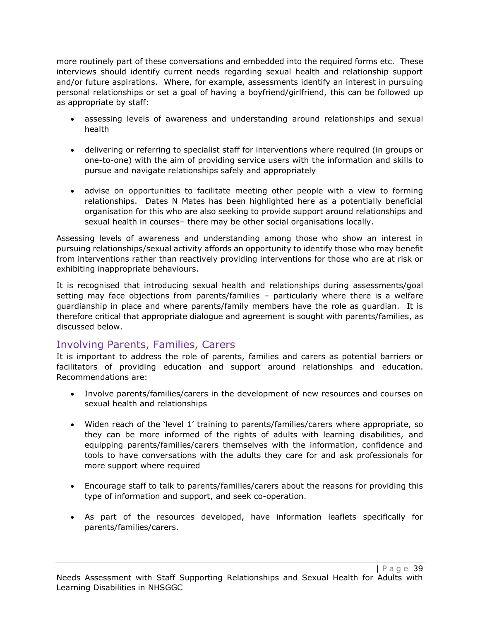more routinely part of these conversations and embedded into the required forms etc. These interviews should identify current needs regarding sexual health and relationship support and/or future aspirations. Where, for example, assessments identify an interest in pursuing personal relationships or set a goal of having a boyfriend/girlfriend, this can be followed up as appropriate by staff:

- assessing levels of awareness and understanding around relationships and sexual health
- delivering or referring to specialist staff for interventions where required (in groups or one-to-one) with the aim of providing service users with the information and skills to pursue and navigate relationships safely and appropriately
- advise on opportunities to facilitate meeting other people with a view to forming relationships. Dates N Mates has been highlighted here as a potentially beneficial organisation for this who are also seeking to provide support around relationships and sexual health in courses– there may be other social organisations locally.

Assessing levels of awareness and understanding among those who show an interest in pursuing relationships/sexual activity affords an opportunity to identify those who may benefit from interventions rather than reactively providing interventions for those who are at risk or exhibiting inappropriate behaviours.

It is recognised that introducing sexual health and relationships during assessments/goal setting may face objections from parents/families – particularly where there is a welfare guardianship in place and where parents/family members have the role as guardian. It is therefore critical that appropriate dialogue and agreement is sought with parents/families, as discussed below.

### Involving Parents, Families, Carers

It is important to address the role of parents, families and carers as potential barriers or facilitators of providing education and support around relationships and education. Recommendations are:

- Involve parents/families/carers in the development of new resources and courses on sexual health and relationships
- Widen reach of the 'level 1' training to parents/families/carers where appropriate, so they can be more informed of the rights of adults with learning disabilities, and equipping parents/families/carers themselves with the information, confidence and tools to have conversations with the adults they care for and ask professionals for more support where required
- Encourage staff to talk to parents/families/carers about the reasons for providing this type of information and support, and seek co-operation.
- As part of the resources developed, have information leaflets specifically for parents/families/carers.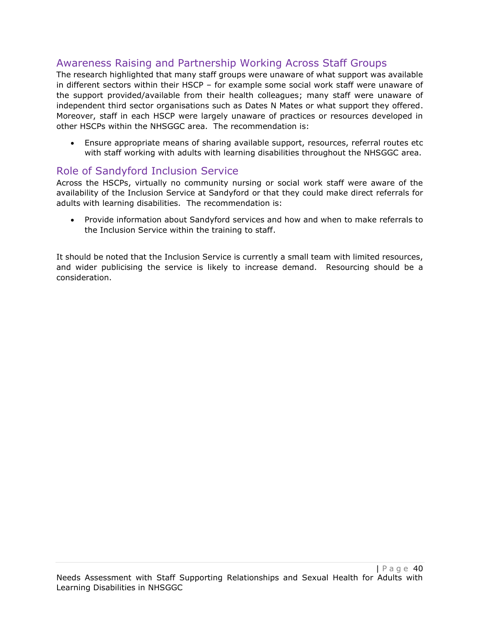### Awareness Raising and Partnership Working Across Staff Groups

The research highlighted that many staff groups were unaware of what support was available in different sectors within their HSCP – for example some social work staff were unaware of the support provided/available from their health colleagues; many staff were unaware of independent third sector organisations such as Dates N Mates or what support they offered. Moreover, staff in each HSCP were largely unaware of practices or resources developed in other HSCPs within the NHSGGC area. The recommendation is:

• Ensure appropriate means of sharing available support, resources, referral routes etc with staff working with adults with learning disabilities throughout the NHSGGC area.

### Role of Sandyford Inclusion Service

Across the HSCPs, virtually no community nursing or social work staff were aware of the availability of the Inclusion Service at Sandyford or that they could make direct referrals for adults with learning disabilities. The recommendation is:

• Provide information about Sandyford services and how and when to make referrals to the Inclusion Service within the training to staff.

It should be noted that the Inclusion Service is currently a small team with limited resources, and wider publicising the service is likely to increase demand. Resourcing should be a consideration.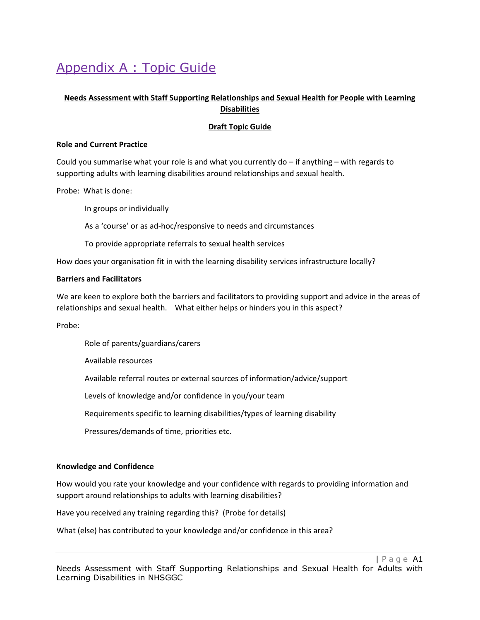## Appendix A : Topic Guide

#### **Needs Assessment with Staff Supporting Relationships and Sexual Health for People with Learning Disabilities**

#### **Draft Topic Guide**

#### **Role and Current Practice**

Could you summarise what your role is and what you currently do – if anything – with regards to supporting adults with learning disabilities around relationships and sexual health.

Probe: What is done:

In groups or individually

As a 'course' or as ad-hoc/responsive to needs and circumstances

To provide appropriate referrals to sexual health services

How does your organisation fit in with the learning disability services infrastructure locally?

#### **Barriers and Facilitators**

We are keen to explore both the barriers and facilitators to providing support and advice in the areas of relationships and sexual health. What either helps or hinders you in this aspect?

Probe:

Role of parents/guardians/carers

Available resources

Available referral routes or external sources of information/advice/support

Levels of knowledge and/or confidence in you/your team

Requirements specific to learning disabilities/types of learning disability

Pressures/demands of time, priorities etc.

#### **Knowledge and Confidence**

How would you rate your knowledge and your confidence with regards to providing information and support around relationships to adults with learning disabilities?

Have you received any training regarding this? (Probe for details)

What (else) has contributed to your knowledge and/or confidence in this area?